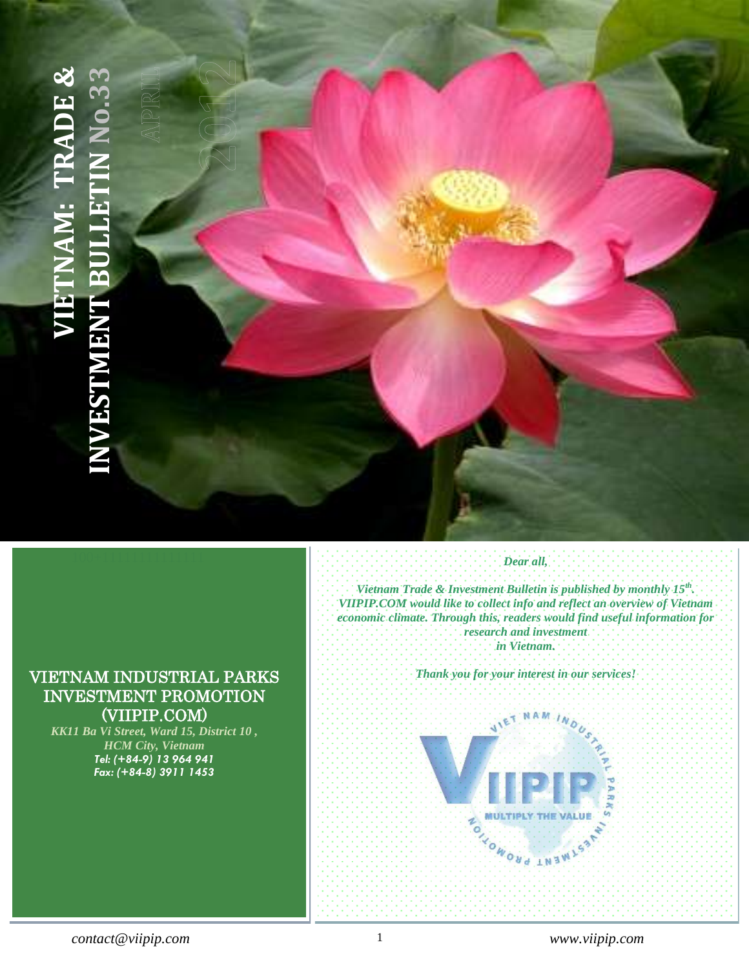# <span id="page-0-0"></span>100+11111111111111 **VIETNAM: TRADE & INVESTMENT BULLETIN No.33**

# VIETNAM INDUSTRIAL PARKS INVESTMENT PROMOTION (VIIPIP.COM)

*KK11 Ba Vi Street, Ward 15, District 10 , HCM City, Vietnam Tel: (+84-9) 13 964 941 Fax: (+84-8) 3911 1453*

# *Dear all,*

**INDOCHINA INTERNATIONAL CONSULTING J.S.C (IIC.)** Katalog 15, District 10, Ho Chi Minh City - Vietname and City - Vietname and City - Vietname and City - Vietname

Tel: (+ 84-8) 3507 – Fax: (+ 84-8) 3911 – Fax: (+ 84-8) 3911 – Fax: (+ 84-8) 3911 – Fax: (+ 84-8) 3911 – Fax: (+ 84-8) 3911 – Fax: (+ 84-8) 3911 – Fax: (+ 84-8) 3911 – Fax: (+ 84-8) 3911 – Fax: (+ 84-8) 3911 – Fax: (+ 84-8

*Vietnam Trade & Investment Bulletin is published by monthly 15th . VIIPIP.COM would like to collect info and reflect an overview of Vietnam economic climate. Through this, readers would find useful information for research and investment in Vietnam.*

*Thank you for your interest in our services!* 

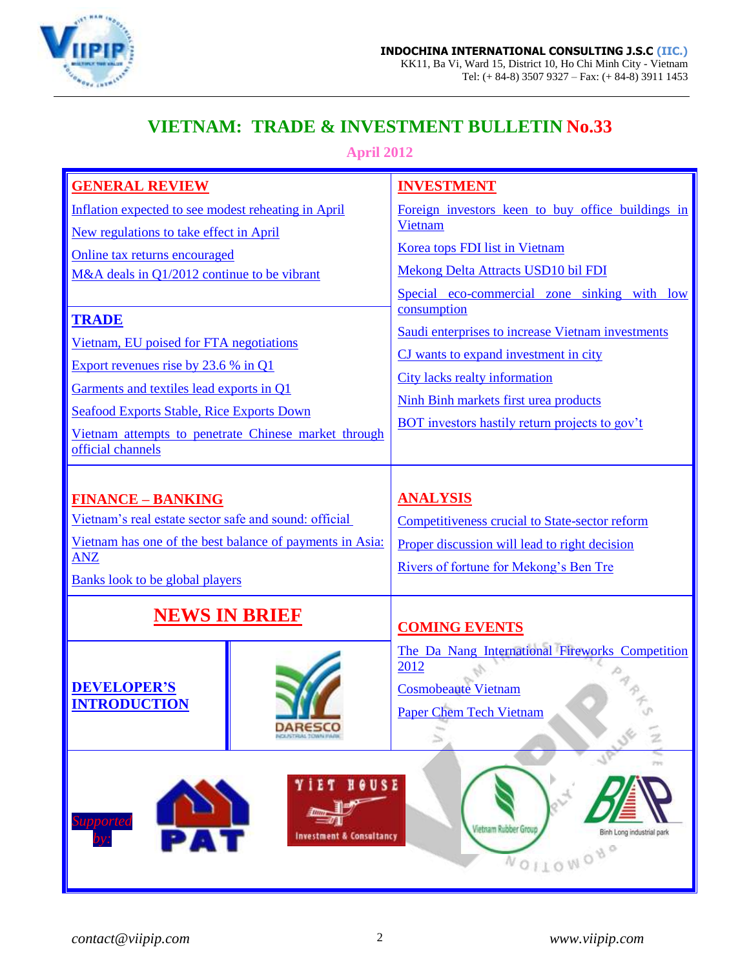

# **VIETNAM: TRADE & INVESTMENT BULLETIN No.33**

**April 2012**

| <b>GENERAL REVIEW</b>                                                                                                                     | <b>INVESTMENT</b>                                                                       |
|-------------------------------------------------------------------------------------------------------------------------------------------|-----------------------------------------------------------------------------------------|
| Inflation expected to see modest reheating in April                                                                                       | Foreign investors keen to buy office buildings in                                       |
| New regulations to take effect in April                                                                                                   | Vietnam                                                                                 |
| Online tax returns encouraged                                                                                                             | Korea tops FDI list in Vietnam                                                          |
| M&A deals in Q1/2012 continue to be vibrant                                                                                               | Mekong Delta Attracts USD10 bil FDI                                                     |
|                                                                                                                                           | Special eco-commercial zone sinking with low<br>consumption                             |
| <b>TRADE</b>                                                                                                                              | Saudi enterprises to increase Vietnam investments                                       |
| Vietnam, EU poised for FTA negotiations                                                                                                   | CJ wants to expand investment in city                                                   |
| Export revenues rise by $23.6\%$ in Q1                                                                                                    | <b>City lacks realty information</b>                                                    |
| Garments and textiles lead exports in Q1                                                                                                  | Ninh Binh markets first urea products                                                   |
| <b>Seafood Exports Stable, Rice Exports Down</b>                                                                                          | <b>BOT</b> investors hastily return projects to gov't                                   |
| Vietnam attempts to penetrate Chinese market through<br>official channels                                                                 |                                                                                         |
|                                                                                                                                           |                                                                                         |
| <b>FINANCE - BANKING</b><br>Vietnam's real estate sector safe and sound: official                                                         | <b>ANALYSIS</b>                                                                         |
| Vietnam has one of the best balance of payments in Asia:                                                                                  | <b>Competitiveness crucial to State-sector reform</b>                                   |
| <b>ANZ</b>                                                                                                                                | Proper discussion will lead to right decision<br>Rivers of fortune for Mekong's Ben Tre |
| <b>Banks look to be global players</b>                                                                                                    |                                                                                         |
| <b>NEWS IN BRIEF</b>                                                                                                                      | <b>COMING EVENTS</b>                                                                    |
|                                                                                                                                           | The Da Nang International Fireworks Competition                                         |
|                                                                                                                                           | 2012                                                                                    |
| <b>DEVELOPER'S</b><br><b>INTRODUCTION</b>                                                                                                 | <b>Cosmobeaute Vietnam</b>                                                              |
| <b>DARESCO</b>                                                                                                                            | <b>Paper Chem Tech Vietnam</b>                                                          |
| NOLISTRIAL TOWN FWW.                                                                                                                      | $\geq$                                                                                  |
| 299<br>HOUSE<br>Supportec<br>Vietnam Rubber Group<br>PAT<br>Binh Long industrial park<br><b>Investment &amp; Consultancy</b><br>NOILOWONO |                                                                                         |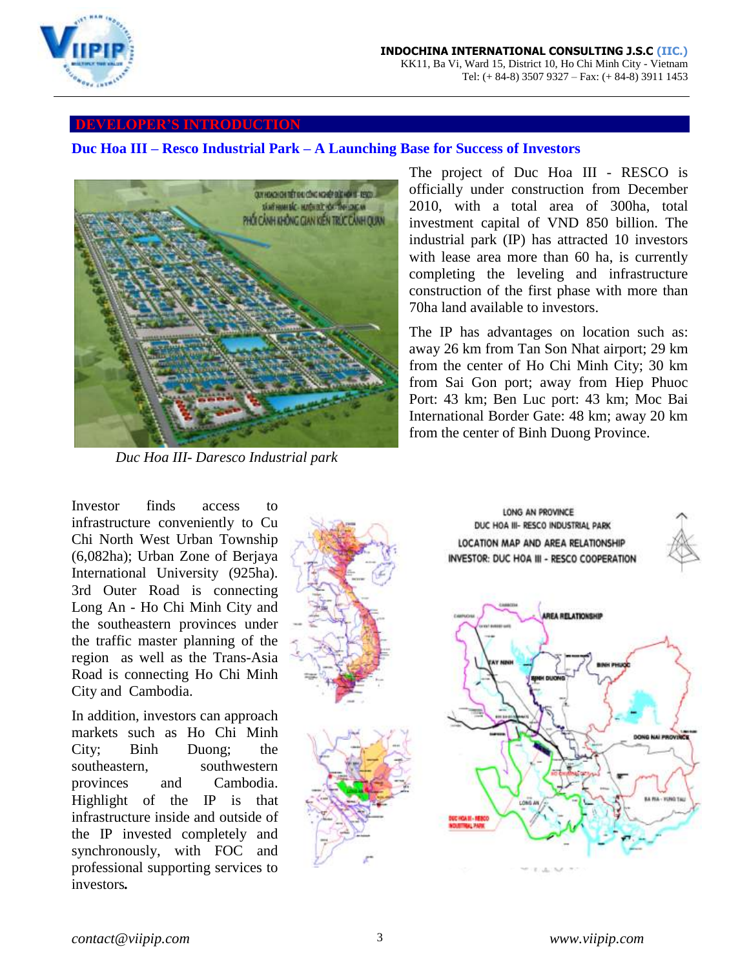

### **DEVELOPER'S INTRODUCTION**

### <span id="page-2-0"></span>**Duc Hoa III – Resco Industrial Park – A Launching Base for Success of Investors**



 *Duc Hoa III- Daresco Industrial park* 

The project of Duc Hoa III - RESCO is officially under construction from December 2010, with a total area of 300ha, total investment capital of VND 850 billion. The industrial park (IP) has attracted 10 investors with lease area more than 60 ha, is currently completing the leveling and infrastructure construction of the first phase with more than 70ha land available to investors.

The IP has advantages on location such as: away 26 km from Tan Son Nhat airport; 29 km from the center of Ho Chi Minh City; 30 km from Sai Gon port; away from Hiep Phuoc Port: 43 km; Ben Luc port: 43 km; Moc Bai International Border Gate: 48 km; away 20 km from the center of Binh Duong Province.

Investor finds access to infrastructure conveniently to Cu Chi North West Urban Township (6,082ha); Urban Zone of Berjaya International University (925ha). 3rd Outer Road is connecting Long An - Ho Chi Minh City and the southeastern provinces under the traffic master planning of the region as well as the Trans-Asia Road is connecting Ho Chi Minh City and Cambodia.

In addition, investors can approach markets such as Ho Chi Minh City; Binh Duong; the southeastern, southwestern provinces and Cambodia. Highlight of the IP is that infrastructure inside and outside of the IP invested completely and synchronously, with FOC and professional supporting services to investors*.*

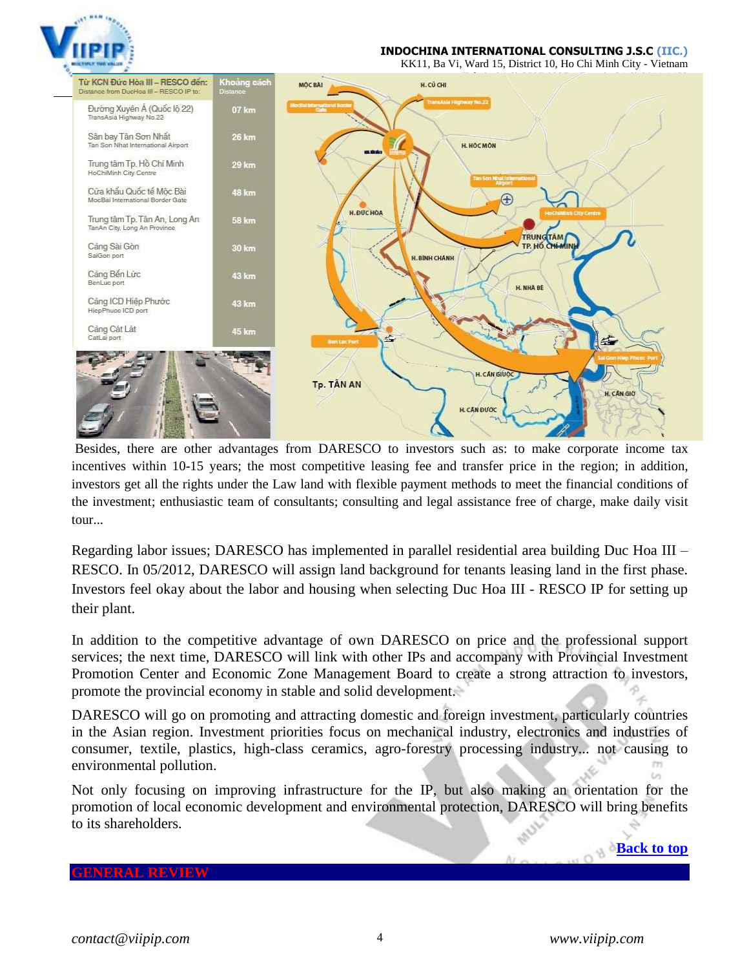

### **INDOCHINA INTERNATIONAL CONSULTING J.S.C (IIC.)**

KK11, Ba Vi, Ward 15, District 10, Ho Chi Minh City - Vietnam



Besides, there are other advantages from DARESCO to investors such as: to make corporate income tax incentives within 10-15 years; the most competitive leasing fee and transfer price in the region; in addition, investors get all the rights under the Law land with flexible payment methods to meet the financial conditions of the investment; enthusiastic team of consultants; consulting and legal assistance free of charge, make daily visit tour...

Regarding labor issues; DARESCO has implemented in parallel residential area building Duc Hoa III – RESCO. In 05/2012, DARESCO will assign land background for tenants leasing land in the first phase. Investors feel okay about the labor and housing when selecting Duc Hoa III - RESCO IP for setting up their plant.

In addition to the competitive advantage of own DARESCO on price and the professional support services; the next time, DARESCO will link with other IPs and accompany with Provincial Investment Promotion Center and Economic Zone Management Board to create a strong attraction to investors, promote the provincial economy in stable and solid development.

DARESCO will go on promoting and attracting domestic and foreign investment, particularly countries in the Asian region. Investment priorities focus on mechanical industry, electronics and industries of consumer, textile, plastics, high-class ceramics, agro-forestry processing industry... not causing to environmental pollution.

Not only focusing on improving infrastructure for the IP, but also making an orientation for the promotion of local economic development and environmental protection, DARESCO will bring benefits to its shareholders.

### <span id="page-3-0"></span>**GENERAL REVIEW**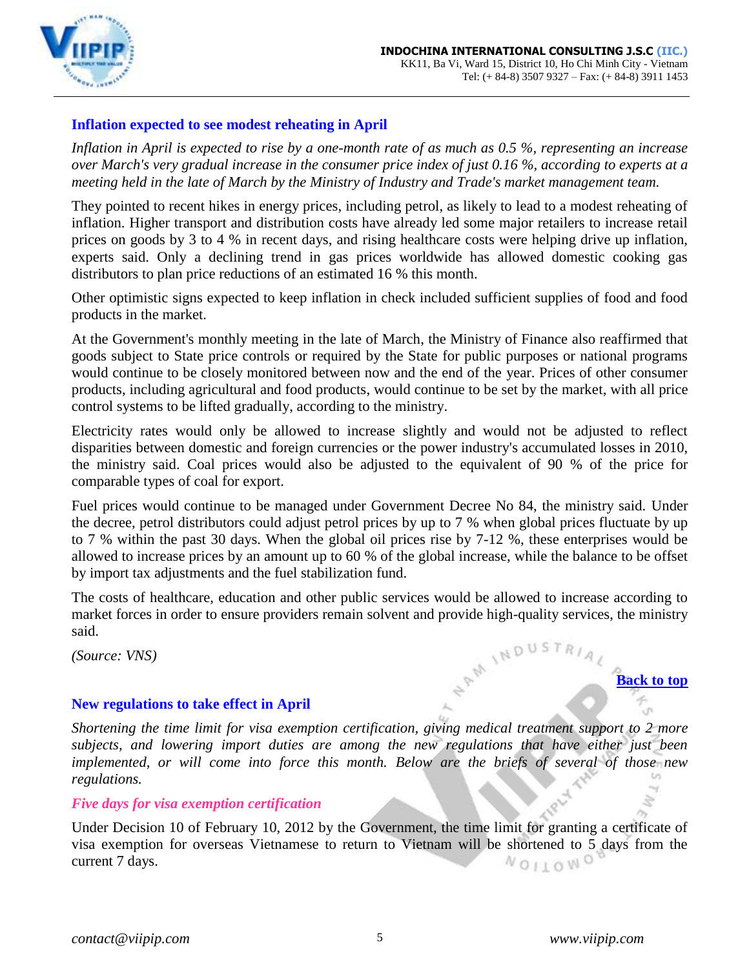

# **Inflation expected to see modest reheating in April**

*Inflation in April is expected to rise by a one-month rate of as much as 0.5 %, representing an increase over March's very gradual increase in the consumer price index of just 0.16 %, according to experts at a meeting held in the late of March by the Ministry of Industry and Trade's market management team.* 

They pointed to recent hikes in energy prices, including petrol, as likely to lead to a modest reheating of inflation. Higher transport and distribution costs have already led some major retailers to increase retail prices on goods by 3 to 4 % in recent days, and rising healthcare costs were helping drive up inflation, experts said. Only a declining trend in gas prices worldwide has allowed domestic cooking gas distributors to plan price reductions of an estimated 16 % this month.

Other optimistic signs expected to keep inflation in check included sufficient supplies of food and food products in the market.

At the Government's monthly meeting in the late of March, the Ministry of Finance also reaffirmed that goods subject to State price controls or required by the State for public purposes or national programs would continue to be closely monitored between now and the end of the year. Prices of other consumer products, including agricultural and food products, would continue to be set by the market, with all price control systems to be lifted gradually, according to the ministry.

Electricity rates would only be allowed to increase slightly and would not be adjusted to reflect disparities between domestic and foreign currencies or the power industry's accumulated losses in 2010, the ministry said. Coal prices would also be adjusted to the equivalent of 90 % of the price for comparable types of coal for export.

Fuel prices would continue to be managed under Government Decree No 84, the ministry said. Under the decree, petrol distributors could adjust petrol prices by up to 7 % when global prices fluctuate by up to 7 % within the past 30 days. When the global oil prices rise by 7-12 %, these enterprises would be allowed to increase prices by an amount up to 60 % of the global increase, while the balance to be offset by import tax adjustments and the fuel stabilization fund.

The costs of healthcare, education and other public services would be allowed to increase according to market forces in order to ensure providers remain solvent and provide high-quality services, the ministry said.<br>(Source: VNS) said.

*(Source: VNS)*

### <span id="page-4-0"></span>**New regulations to take effect in April**

*Shortening the time limit for visa exemption certification, giving medical treatment support to 2 more subjects, and lowering import duties are among the new regulations that have either just been implemented, or will come into force this month. Below are the briefs of several of those new regulations.*  $\omega$ 

*Five days for visa exemption certification*

Under Decision 10 of February 10, 2012 by the Government, the time limit for granting a certificate of visa exemption for overseas Vietnamese to return to Vietnam will be shortened to 5 days from the current 7 days.NOILOWOV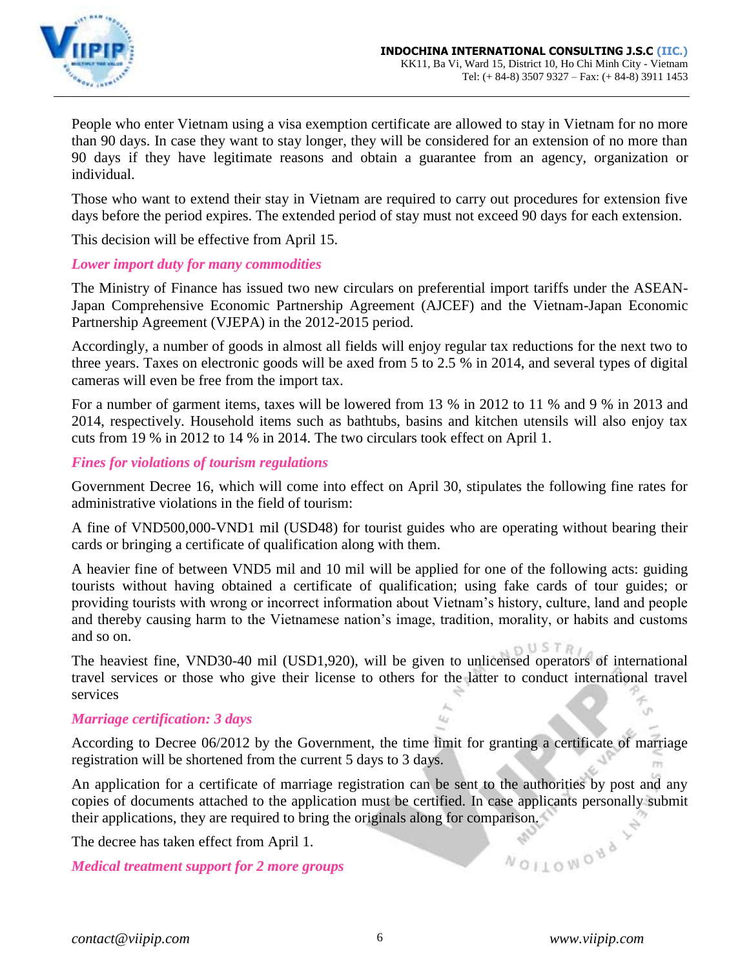

People who enter Vietnam using a visa exemption certificate are allowed to stay in Vietnam for no more than 90 days. In case they want to stay longer, they will be considered for an extension of no more than 90 days if they have legitimate reasons and obtain a guarantee from an agency, organization or individual.

Those who want to extend their stay in Vietnam are required to carry out procedures for extension five days before the period expires. The extended period of stay must not exceed 90 days for each extension.

This decision will be effective from April 15.

# *Lower import duty for many commodities*

The Ministry of Finance has issued two new circulars on preferential import tariffs under the ASEAN-Japan Comprehensive Economic Partnership Agreement (AJCEF) and the Vietnam-Japan Economic Partnership Agreement (VJEPA) in the 2012-2015 period.

Accordingly, a number of goods in almost all fields will enjoy regular tax reductions for the next two to three years. Taxes on electronic goods will be axed from 5 to 2.5 % in 2014, and several types of digital cameras will even be free from the import tax.

For a number of garment items, taxes will be lowered from 13 % in 2012 to 11 % and 9 % in 2013 and 2014, respectively. Household items such as bathtubs, basins and kitchen utensils will also enjoy tax cuts from 19 % in 2012 to 14 % in 2014. The two circulars took effect on April 1.

# *Fines for violations of tourism regulations*

Government Decree 16, which will come into effect on April 30, stipulates the following fine rates for administrative violations in the field of tourism:

A fine of VND500,000-VND1 mil (USD48) for tourist guides who are operating without bearing their cards or bringing a certificate of qualification along with them.

A heavier fine of between VND5 mil and 10 mil will be applied for one of the following acts: guiding tourists without having obtained a certificate of qualification; using fake cards of tour guides; or providing tourists with wrong or incorrect information about Vietnam's history, culture, land and people and thereby causing harm to the Vietnamese nation's image, tradition, morality, or habits and customs and so on.

 $OUSTR$ The heaviest fine, VND30-40 mil (USD1,920), will be given to unlicensed operators of international travel services or those who give their license to others for the latter to conduct international travel services

### *Marriage certification: 3 days*

According to Decree 06/2012 by the Government, the time limit for granting a certificate of marriage registration will be shortened from the current 5 days to 3 days.

An application for a certificate of marriage registration can be sent to the authorities by post and any copies of documents attached to the application must be certified. In case applicants personally submit their applications, they are required to bring the originals along for comparison.<br>The decree has taken effect from April 1.<br>Medical treatment support for 2 more groups

The decree has taken effect from April 1.

*Medical treatment support for 2 more groups*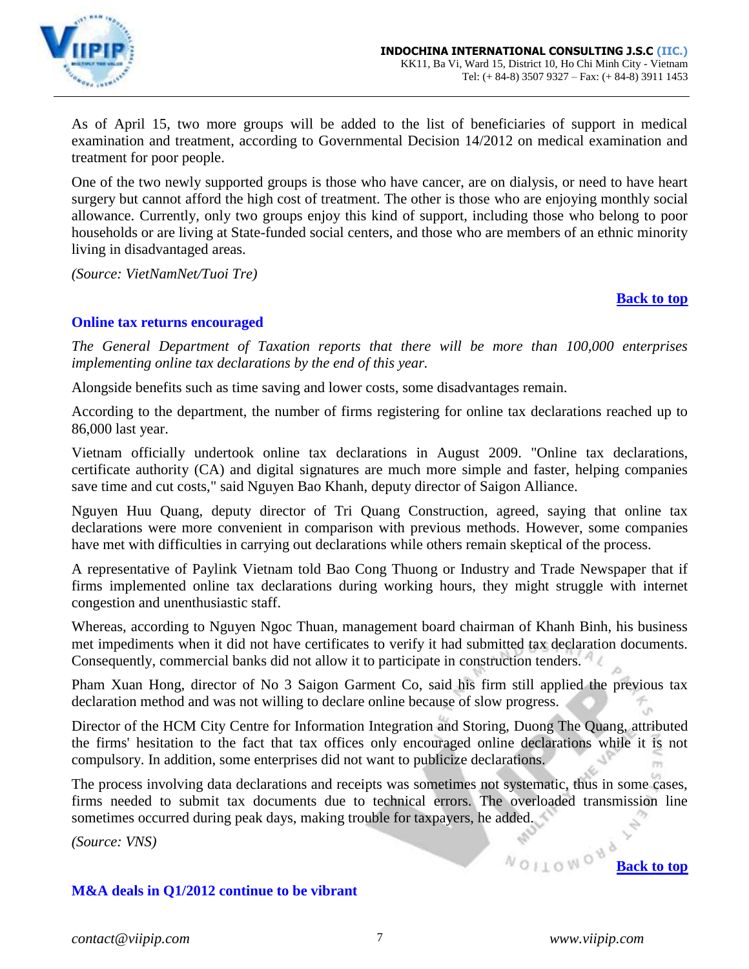

As of April 15, two more groups will be added to the list of beneficiaries of support in medical examination and treatment, according to Governmental Decision 14/2012 on medical examination and treatment for poor people.

One of the two newly supported groups is those who have cancer, are on dialysis, or need to have heart surgery but cannot afford the high cost of treatment. The other is those who are enjoying monthly social allowance. Currently, only two groups enjoy this kind of support, including those who belong to poor households or are living at State-funded social centers, and those who are members of an ethnic minority living in disadvantaged areas.

*(Source: VietNamNet/Tuoi Tre)*

### **[Back to top](#page-0-0)**

# <span id="page-6-0"></span>**Online tax returns encouraged**

*The General Department of Taxation reports that there will be more than 100,000 enterprises implementing online tax declarations by the end of this year.* 

Alongside benefits such as time saving and lower costs, some disadvantages remain.

According to the department, the number of firms registering for online tax declarations reached up to 86,000 last year.

Vietnam officially undertook online tax declarations in August 2009. "Online tax declarations, certificate authority (CA) and digital signatures are much more simple and faster, helping companies save time and cut costs," said Nguyen Bao Khanh, deputy director of Saigon Alliance.

Nguyen Huu Quang, deputy director of Tri Quang Construction, agreed, saying that online tax declarations were more convenient in comparison with previous methods. However, some companies have met with difficulties in carrying out declarations while others remain skeptical of the process.

A representative of Paylink Vietnam told Bao Cong Thuong or Industry and Trade Newspaper that if firms implemented online tax declarations during working hours, they might struggle with internet congestion and unenthusiastic staff.

Whereas, according to Nguyen Ngoc Thuan, management board chairman of Khanh Binh, his business met impediments when it did not have certificates to verify it had submitted tax declaration documents. Consequently, commercial banks did not allow it to participate in construction tenders.

Pham Xuan Hong, director of No 3 Saigon Garment Co, said his firm still applied the previous tax declaration method and was not willing to declare online because of slow progress.

Director of the HCM City Centre for Information Integration and Storing, Duong The Quang, attributed the firms' hesitation to the fact that tax offices only encouraged online declarations while it is not compulsory. In addition, some enterprises did not want to publicize declarations.

The process involving data declarations and receipts was sometimes not systematic, thus in some cases, firms needed to submit tax documents due to technical errors. The overloaded transmission line sometimes occurred during peak days, making trouble for taxpayers, he added.

*(Source: VNS)*

# <span id="page-6-1"></span>**M&A deals in Q1/2012 continue to be vibrant**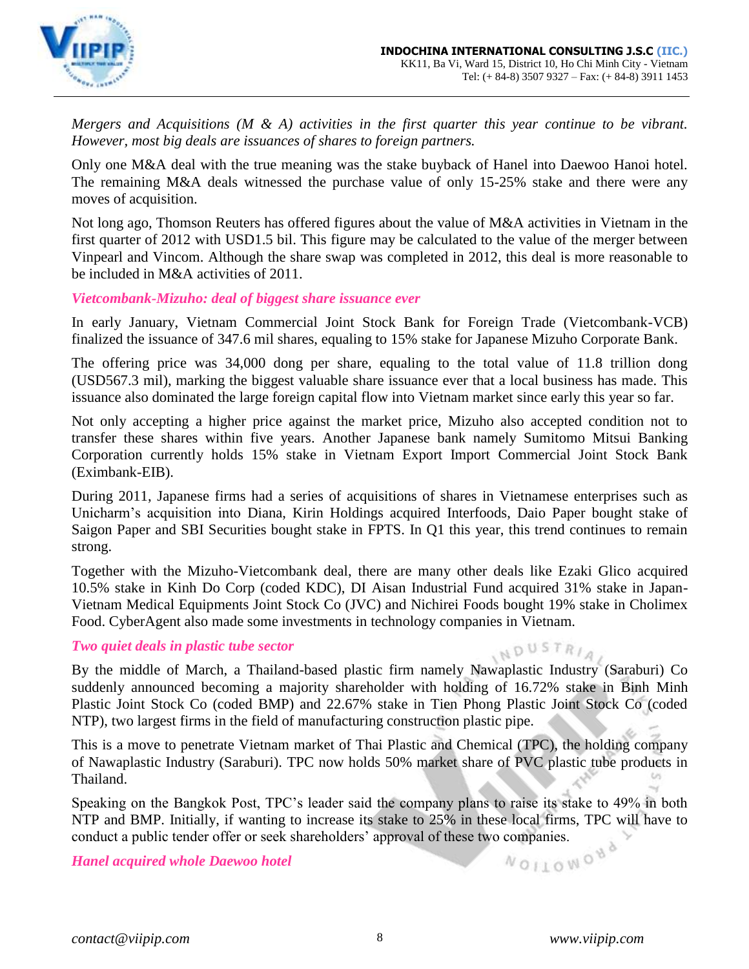

*Mergers and Acquisitions (M & A) activities in the first quarter this year continue to be vibrant. However, most big deals are issuances of shares to foreign partners.* 

Only one M&A deal with the true meaning was the stake buyback of Hanel into Daewoo Hanoi hotel. The remaining M&A deals witnessed the purchase value of only 15-25% stake and there were any moves of acquisition.

Not long ago, Thomson Reuters has offered figures about the value of M&A activities in Vietnam in the first quarter of 2012 with USD1.5 bil. This figure may be calculated to the value of the merger between Vinpearl and Vincom. Although the share swap was completed in 2012, this deal is more reasonable to be included in M&A activities of 2011.

# *Vietcombank-Mizuho: deal of biggest share issuance ever*

In early January, Vietnam Commercial Joint Stock Bank for Foreign Trade (Vietcombank-VCB) finalized the issuance of 347.6 mil shares, equaling to 15% stake for Japanese Mizuho Corporate Bank.

The offering price was 34,000 dong per share, equaling to the total value of 11.8 trillion dong (USD567.3 mil), marking the biggest valuable share issuance ever that a local business has made. This issuance also dominated the large foreign capital flow into Vietnam market since early this year so far.

Not only accepting a higher price against the market price, Mizuho also accepted condition not to transfer these shares within five years. Another Japanese bank namely Sumitomo Mitsui Banking Corporation currently holds 15% stake in Vietnam Export Import Commercial Joint Stock Bank (Eximbank-EIB).

During 2011, Japanese firms had a series of acquisitions of shares in Vietnamese enterprises such as Unicharm's acquisition into Diana, Kirin Holdings acquired Interfoods, Daio Paper bought stake of Saigon Paper and SBI Securities bought stake in FPTS. In Q1 this year, this trend continues to remain strong.

Together with the Mizuho-Vietcombank deal, there are many other deals like Ezaki Glico acquired 10.5% stake in Kinh Do Corp (coded KDC), DI Aisan Industrial Fund acquired 31% stake in Japan-Vietnam Medical Equipments Joint Stock Co (JVC) and Nichirei Foods bought 19% stake in Cholimex Food. CyberAgent also made some investments in technology companies in Vietnam.

# *Two quiet deals in plastic tube sector*

INDUSTRIA By the middle of March, a Thailand-based plastic firm namely Nawaplastic Industry (Saraburi) Co suddenly announced becoming a majority shareholder with holding of 16.72% stake in Binh Minh Plastic Joint Stock Co (coded BMP) and 22.67% stake in Tien Phong Plastic Joint Stock Co (coded NTP), two largest firms in the field of manufacturing construction plastic pipe.

This is a move to penetrate Vietnam market of Thai Plastic and Chemical (TPC), the holding company of Nawaplastic Industry (Saraburi). TPC now holds 50% market share of PVC plastic tube products in Thailand. **Ln** 

Speaking on the Bangkok Post, TPC's leader said the company plans to raise its stake to 49% in both NTP and BMP. Initially, if wanting to increase its stake to 25% in these local firms, TPC will have to conduct a public tender offer or seek shareholders' approval of these two companies.<br>Hanel acquired whole Daewoo hotel

*Hanel acquired whole Daewoo hotel*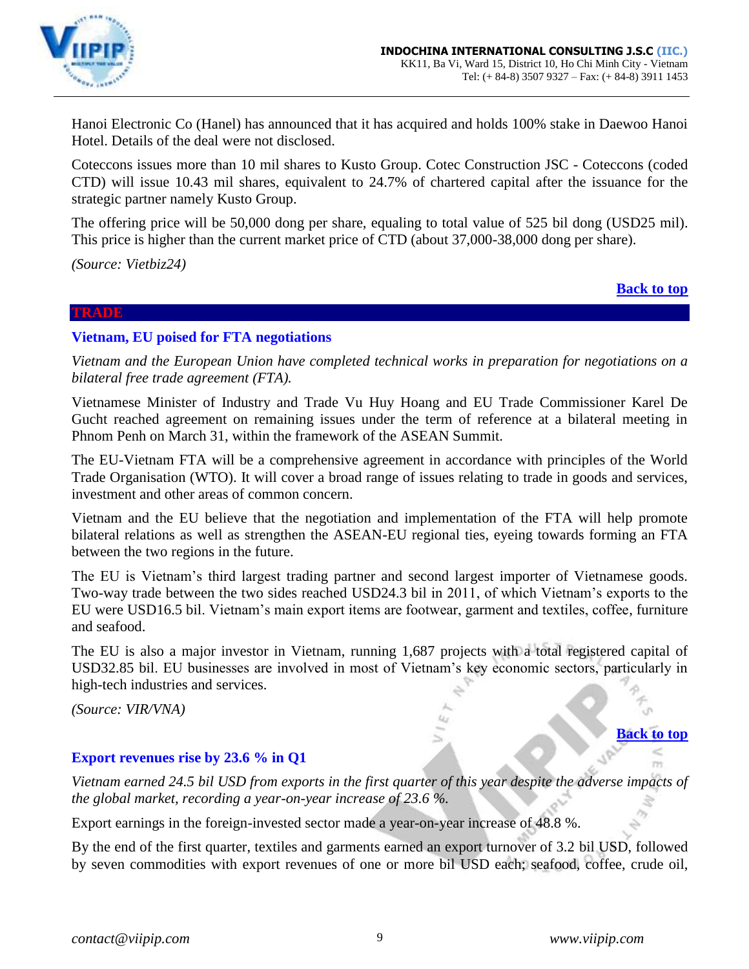

Hanoi Electronic Co (Hanel) has announced that it has acquired and holds 100% stake in Daewoo Hanoi Hotel. Details of the deal were not disclosed.

Coteccons issues more than 10 mil shares to Kusto Group. Cotec Construction JSC - Coteccons (coded CTD) will issue 10.43 mil shares, equivalent to 24.7% of chartered capital after the issuance for the strategic partner namely Kusto Group.

The offering price will be 50,000 dong per share, equaling to total value of 525 bil dong (USD25 mil). This price is higher than the current market price of CTD (about 37,000-38,000 dong per share).

*(Source: Vietbiz24)*

### **[Back to top](#page-0-0)**

**[Back to top](#page-0-0)**

### <span id="page-8-0"></span>**TRADE**

### **Vietnam, EU poised for FTA negotiations**

*Vietnam and the European Union have completed technical works in preparation for negotiations on a bilateral free trade agreement (FTA).*

Vietnamese Minister of Industry and Trade Vu Huy Hoang and EU Trade Commissioner Karel De Gucht reached agreement on remaining issues under the term of reference at a bilateral meeting in Phnom Penh on March 31, within the framework of the ASEAN Summit.

The EU-Vietnam FTA will be a comprehensive agreement in accordance with principles of the World Trade Organisation (WTO). It will cover a broad range of issues relating to trade in goods and services, investment and other areas of common concern.

Vietnam and the EU believe that the negotiation and implementation of the FTA will help promote bilateral relations as well as strengthen the ASEAN-EU regional ties, eyeing towards forming an FTA between the two regions in the future.

The EU is Vietnam's third largest trading partner and second largest importer of Vietnamese goods. Two-way trade between the two sides reached USD24.3 bil in 2011, of which Vietnam's exports to the EU were USD16.5 bil. Vietnam's main export items are footwear, garment and textiles, coffee, furniture and seafood.

The EU is also a major investor in Vietnam, running 1,687 projects with a total registered capital of USD32.85 bil. EU businesses are involved in most of Vietnam's key economic sectors, particularly in high-tech industries and services.

*(Source: VIR/VNA)*

### <span id="page-8-1"></span>**Export revenues rise by 23.6 % in Q1**

*Vietnam earned 24.5 bil USD from exports in the first quarter of this year despite the adverse impacts of the global market, recording a year-on-year increase of 23.6 %.*

Export earnings in the foreign-invested sector made a year-on-year increase of 48.8 %.

By the end of the first quarter, textiles and garments earned an export turnover of 3.2 bil USD, followed by seven commodities with export revenues of one or more bil USD each; seafood, coffee, crude oil,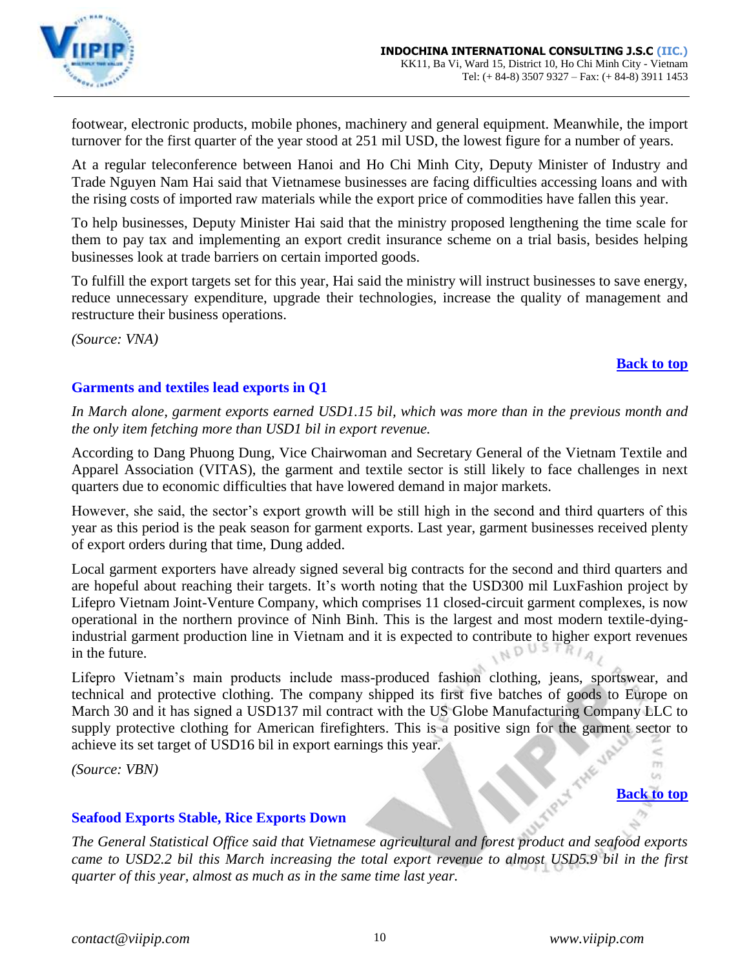

footwear, electronic products, mobile phones, machinery and general equipment. Meanwhile, the import turnover for the first quarter of the year stood at 251 mil USD, the lowest figure for a number of years.

At a regular teleconference between Hanoi and Ho Chi Minh City, Deputy Minister of Industry and Trade Nguyen Nam Hai said that Vietnamese businesses are facing difficulties accessing loans and with the rising costs of imported raw materials while the export price of commodities have fallen this year.

To help businesses, Deputy Minister Hai said that the ministry proposed lengthening the time scale for them to pay tax and implementing an export credit insurance scheme on a trial basis, besides helping businesses look at trade barriers on certain imported goods.

To fulfill the export targets set for this year, Hai said the ministry will instruct businesses to save energy, reduce unnecessary expenditure, upgrade their technologies, increase the quality of management and restructure their business operations.

*(Source: VNA)*

# **[Back to top](#page-0-0)**

# <span id="page-9-0"></span>**Garments and textiles lead exports in Q1**

*In March alone, garment exports earned USD1.15 bil, which was more than in the previous month and the only item fetching more than USD1 bil in export revenue.*

According to Dang Phuong Dung, Vice Chairwoman and Secretary General of the Vietnam Textile and Apparel Association (VITAS), the garment and textile sector is still likely to face challenges in next quarters due to economic difficulties that have lowered demand in major markets.

However, she said, the sector's export growth will be still high in the second and third quarters of this year as this period is the peak season for garment exports. Last year, garment businesses received plenty of export orders during that time, Dung added.

Local garment exporters have already signed several big contracts for the second and third quarters and are hopeful about reaching their targets. It's worth noting that the USD300 mil LuxFashion project by Lifepro Vietnam Joint-Venture Company, which comprises 11 closed-circuit garment complexes, is now operational in the northern province of Ninh Binh. This is the largest and most modern textile-dyingindustrial garment production line in Vietnam and it is expected to contribute to higher export revenues in the future.

Lifepro Vietnam's main products include mass-produced fashion clothing, jeans, sportswear, and technical and protective clothing. The company shipped its first five batches of goods to Europe on March 30 and it has signed a USD137 mil contract with the US Globe Manufacturing Company LLC to supply protective clothing for American firefighters. This is a positive sign for the garment sector to achieve its set target of USD16 bil in export earnings this year.

*(Source: VBN)*

### $\omega$ **[Back to top](#page-0-0)**

 $TT$ 

# <span id="page-9-1"></span>**Seafood Exports Stable, Rice Exports Down**

*The General Statistical Office said that Vietnamese agricultural and forest product and seafood exports came to USD2.2 bil this March increasing the total export revenue to almost USD5.9 bil in the first quarter of this year, almost as much as in the same time last year.*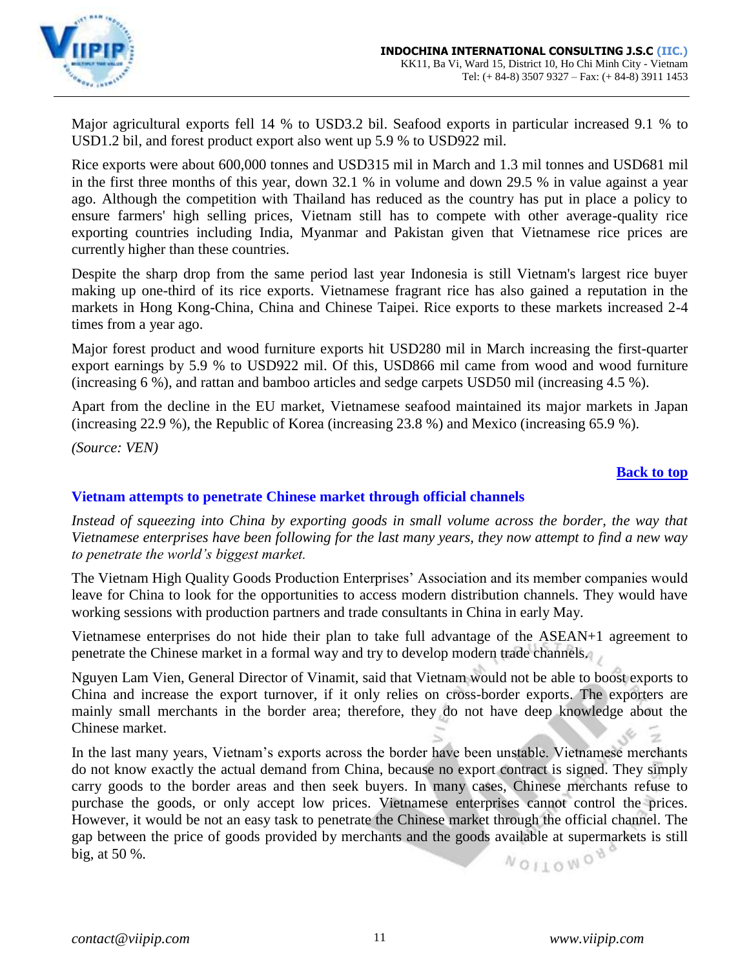

Major agricultural exports fell 14 % to USD3.2 bil. Seafood exports in particular increased 9.1 % to USD1.2 bil, and forest product export also went up 5.9 % to USD922 mil.

Rice exports were about 600,000 tonnes and USD315 mil in March and 1.3 mil tonnes and USD681 mil in the first three months of this year, down 32.1 % in volume and down 29.5 % in value against a year ago. Although the competition with Thailand has reduced as the country has put in place a policy to ensure farmers' high selling prices, Vietnam still has to compete with other average-quality rice exporting countries including India, Myanmar and Pakistan given that Vietnamese rice prices are currently higher than these countries.

Despite the sharp drop from the same period last year Indonesia is still Vietnam's largest rice buyer making up one-third of its rice exports. Vietnamese fragrant rice has also gained a reputation in the markets in Hong Kong-China, China and Chinese Taipei. Rice exports to these markets increased 2-4 times from a year ago.

Major forest product and wood furniture exports hit USD280 mil in March increasing the first-quarter export earnings by 5.9 % to USD922 mil. Of this, USD866 mil came from wood and wood furniture (increasing 6 %), and rattan and bamboo articles and sedge carpets USD50 mil (increasing 4.5 %).

Apart from the decline in the EU market, Vietnamese seafood maintained its major markets in Japan (increasing 22.9 %), the Republic of Korea (increasing 23.8 %) and Mexico (increasing 65.9 %).

*(Source: VEN)*

### **[Back to top](#page-0-0)**

### <span id="page-10-0"></span>**Vietnam attempts to penetrate Chinese market through official channels**

*Instead of squeezing into China by exporting goods in small volume across the border, the way that Vietnamese enterprises have been following for the last many years, they now attempt to find a new way to penetrate the world's biggest market.*

The Vietnam High Quality Goods Production Enterprises' Association and its member companies would leave for China to look for the opportunities to access modern distribution channels. They would have working sessions with production partners and trade consultants in China in early May.

Vietnamese enterprises do not hide their plan to take full advantage of the ASEAN+1 agreement to penetrate the Chinese market in a formal way and try to develop modern trade channels.

Nguyen Lam Vien, General Director of Vinamit, said that Vietnam would not be able to boost exports to China and increase the export turnover, if it only relies on cross-border exports. The exporters are mainly small merchants in the border area; therefore, they do not have deep knowledge about the Chinese market.

In the last many years, Vietnam's exports across the border have been unstable. Vietnamese merchants do not know exactly the actual demand from China, because no export contract is signed. They simply carry goods to the border areas and then seek buyers. In many cases, Chinese merchants refuse to purchase the goods, or only accept low prices. Vietnamese enterprises cannot control the prices. However, it would be not an easy task to penetrate the Chinese market through the official channel. The gap between the price of goods provided by merchants and the goods available at supermarkets is still NOILOWOY big, at 50 %.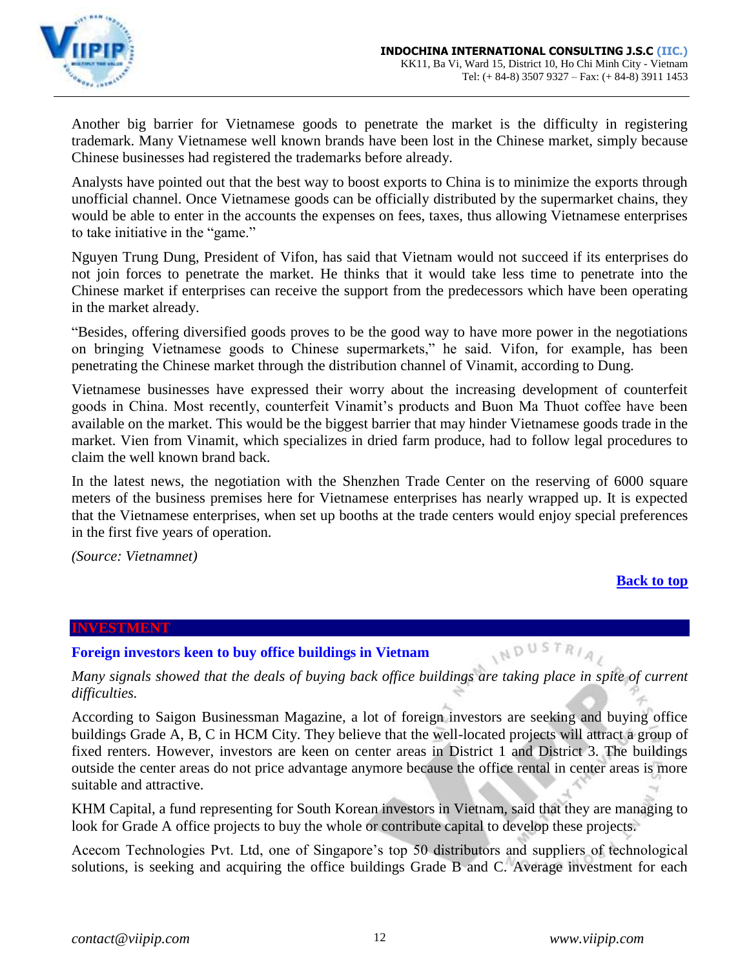

Another big barrier for Vietnamese goods to penetrate the market is the difficulty in registering trademark. Many Vietnamese well known brands have been lost in the Chinese market, simply because Chinese businesses had registered the trademarks before already.

Analysts have pointed out that the best way to boost exports to China is to minimize the exports through unofficial channel. Once Vietnamese goods can be officially distributed by the supermarket chains, they would be able to enter in the accounts the expenses on fees, taxes, thus allowing Vietnamese enterprises to take initiative in the "game."

Nguyen Trung Dung, President of Vifon, has said that Vietnam would not succeed if its enterprises do not join forces to penetrate the market. He thinks that it would take less time to penetrate into the Chinese market if enterprises can receive the support from the predecessors which have been operating in the market already.

"Besides, offering diversified goods proves to be the good way to have more power in the negotiations on bringing Vietnamese goods to Chinese supermarkets," he said. Vifon, for example, has been penetrating the Chinese market through the distribution channel of Vinamit, according to Dung.

Vietnamese businesses have expressed their worry about the increasing development of counterfeit goods in China. Most recently, counterfeit Vinamit's products and Buon Ma Thuot coffee have been available on the market. This would be the biggest barrier that may hinder Vietnamese goods trade in the market. Vien from Vinamit, which specializes in dried farm produce, had to follow legal procedures to claim the well known brand back.

In the latest news, the negotiation with the Shenzhen Trade Center on the reserving of 6000 square meters of the business premises here for Vietnamese enterprises has nearly wrapped up. It is expected that the Vietnamese enterprises, when set up booths at the trade centers would enjoy special preferences in the first five years of operation.

*(Source: Vietnamnet)*

# **[Back to top](#page-0-0)**

### <span id="page-11-0"></span>**INVESTMENT**

### <span id="page-11-1"></span>**Foreign investors keen to buy office buildings in Vietnam**

*Many signals showed that the deals of buying back office buildings are taking place in spite of current difficulties.* 

According to Saigon Businessman Magazine, a lot of foreign investors are seeking and buying office buildings Grade A, B, C in HCM City. They believe that the well-located projects will attract a group of fixed renters. However, investors are keen on center areas in District 1 and District 3. The buildings outside the center areas do not price advantage anymore because the office rental in center areas is more suitable and attractive.

KHM Capital, a fund representing for South Korean investors in Vietnam, said that they are managing to look for Grade A office projects to buy the whole or contribute capital to develop these projects.

Acecom Technologies Pvt. Ltd, one of Singapore's top 50 distributors and suppliers of technological solutions, is seeking and acquiring the office buildings Grade B and C. Average investment for each

INDUSTRIA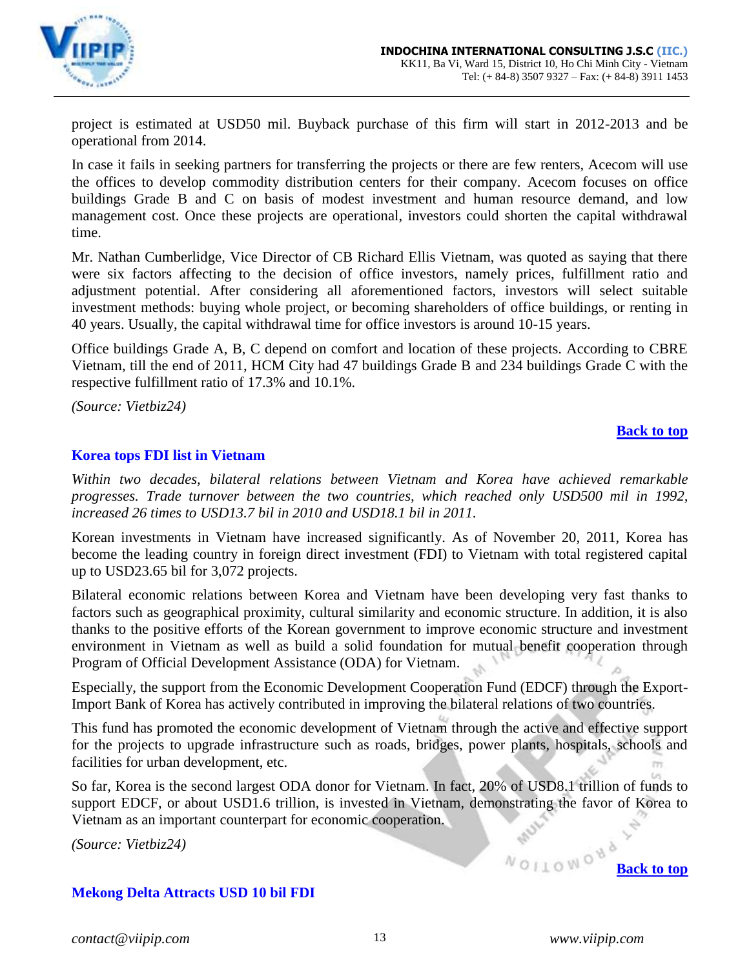

project is estimated at USD50 mil. Buyback purchase of this firm will start in 2012-2013 and be operational from 2014.

In case it fails in seeking partners for transferring the projects or there are few renters, Acecom will use the offices to develop commodity distribution centers for their company. Acecom focuses on office buildings Grade B and C on basis of modest investment and human resource demand, and low management cost. Once these projects are operational, investors could shorten the capital withdrawal time.

Mr. Nathan Cumberlidge, Vice Director of CB Richard Ellis Vietnam, was quoted as saying that there were six factors affecting to the decision of office investors, namely prices, fulfillment ratio and adjustment potential. After considering all aforementioned factors, investors will select suitable investment methods: buying whole project, or becoming shareholders of office buildings, or renting in 40 years. Usually, the capital withdrawal time for office investors is around 10-15 years.

Office buildings Grade A, B, C depend on comfort and location of these projects. According to CBRE Vietnam, till the end of 2011, HCM City had 47 buildings Grade B and 234 buildings Grade C with the respective fulfillment ratio of 17.3% and 10.1%.

*(Source: Vietbiz24)*

# **[Back to top](#page-0-0)**

# <span id="page-12-0"></span>**Korea tops FDI list in Vietnam**

*Within two decades, bilateral relations between Vietnam and Korea have achieved remarkable progresses. Trade turnover between the two countries, which reached only USD500 mil in 1992, increased 26 times to USD13.7 bil in 2010 and USD18.1 bil in 2011.* 

Korean investments in Vietnam have increased significantly. As of November 20, 2011, Korea has become the leading country in foreign direct investment (FDI) to Vietnam with total registered capital up to USD23.65 bil for 3,072 projects.

Bilateral economic relations between Korea and Vietnam have been developing very fast thanks to factors such as geographical proximity, cultural similarity and economic structure. In addition, it is also thanks to the positive efforts of the Korean government to improve economic structure and investment environment in Vietnam as well as build a solid foundation for mutual benefit cooperation through Program of Official Development Assistance (ODA) for Vietnam.

Especially, the support from the Economic Development Cooperation Fund (EDCF) through the Export-Import Bank of Korea has actively contributed in improving the bilateral relations of two countries.

This fund has promoted the economic development of Vietnam through the active and effective support for the projects to upgrade infrastructure such as roads, bridges, power plants, hospitals, schools and facilities for urban development, etc.

So far, Korea is the second largest ODA donor for Vietnam. In fact, 20% of USD8.1 trillion of funds to support EDCF, or about USD1.6 trillion, is invested in Vietnam, demonstrating the favor of Korea to Vietnam as an important counterpart for economic cooperation.

*(Source: Vietbiz24)*

# <span id="page-12-1"></span>**Mekong Delta Attracts USD 10 bil FDI**

*contact@viipip.com* 13 *www.viipip.com*

*NOILOWON*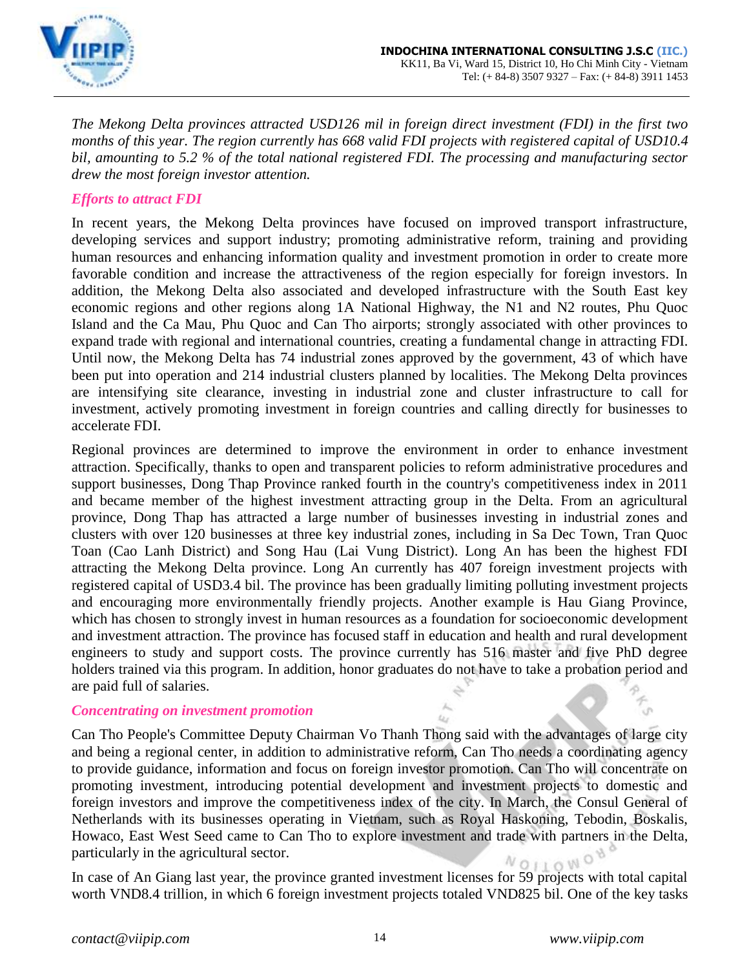

*The Mekong Delta provinces attracted USD126 mil in foreign direct investment (FDI) in the first two months of this year. The region currently has 668 valid FDI projects with registered capital of USD10.4 bil, amounting to 5.2 % of the total national registered FDI. The processing and manufacturing sector drew the most foreign investor attention.*

### *Efforts to attract FDI*

In recent years, the Mekong Delta provinces have focused on improved transport infrastructure, developing services and support industry; promoting administrative reform, training and providing human resources and enhancing information quality and investment promotion in order to create more favorable condition and increase the attractiveness of the region especially for foreign investors. In addition, the Mekong Delta also associated and developed infrastructure with the South East key economic regions and other regions along 1A National Highway, the N1 and N2 routes, Phu Quoc Island and the Ca Mau, Phu Quoc and Can Tho airports; strongly associated with other provinces to expand trade with regional and international countries, creating a fundamental change in attracting FDI. Until now, the Mekong Delta has 74 industrial zones approved by the government, 43 of which have been put into operation and 214 industrial clusters planned by localities. The Mekong Delta provinces are intensifying site clearance, investing in industrial zone and cluster infrastructure to call for investment, actively promoting investment in foreign countries and calling directly for businesses to accelerate FDI.

Regional provinces are determined to improve the environment in order to enhance investment attraction. Specifically, thanks to open and transparent policies to reform administrative procedures and support businesses, Dong Thap Province ranked fourth in the country's competitiveness index in 2011 and became member of the highest investment attracting group in the Delta. From an agricultural province, Dong Thap has attracted a large number of businesses investing in industrial zones and clusters with over 120 businesses at three key industrial zones, including in Sa Dec Town, Tran Quoc Toan (Cao Lanh District) and Song Hau (Lai Vung District). Long An has been the highest FDI attracting the Mekong Delta province. Long An currently has 407 foreign investment projects with registered capital of USD3.4 bil. The province has been gradually limiting polluting investment projects and encouraging more environmentally friendly projects. Another example is Hau Giang Province, which has chosen to strongly invest in human resources as a foundation for socioeconomic development and investment attraction. The province has focused staff in education and health and rural development engineers to study and support costs. The province currently has 516 master and five PhD degree holders trained via this program. In addition, honor graduates do not have to take a probation period and are paid full of salaries.

### *Concentrating on investment promotion*

Can Tho People's Committee Deputy Chairman Vo Thanh Thong said with the advantages of large city and being a regional center, in addition to administrative reform, Can Tho needs a coordinating agency to provide guidance, information and focus on foreign investor promotion. Can Tho will concentrate on promoting investment, introducing potential development and investment projects to domestic and foreign investors and improve the competitiveness index of the city. In March, the Consul General of Netherlands with its businesses operating in Vietnam, such as Royal Haskoning, Tebodin, Boskalis, Howaco, East West Seed came to Can Tho to explore investment and trade with partners in the Delta, particularly in the agricultural sector.  $NQHON$ 

In case of An Giang last year, the province granted investment licenses for 59 projects with total capital worth VND8.4 trillion, in which 6 foreign investment projects totaled VND825 bil. One of the key tasks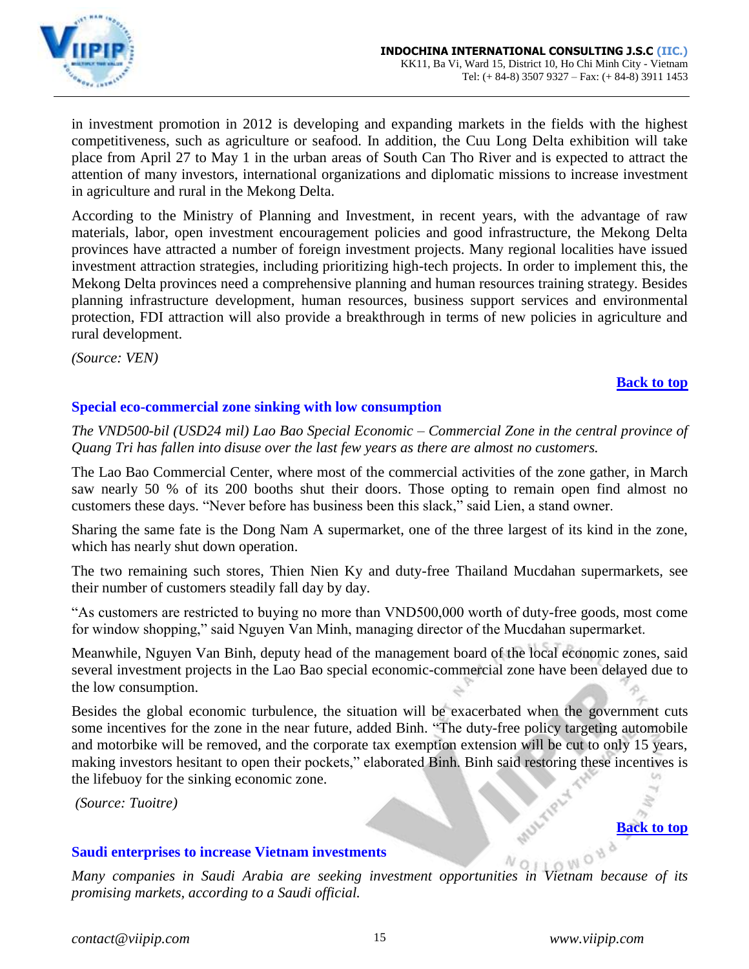

in investment promotion in 2012 is developing and expanding markets in the fields with the highest competitiveness, such as agriculture or seafood. In addition, the Cuu Long Delta exhibition will take place from April 27 to May 1 in the urban areas of South Can Tho River and is expected to attract the attention of many investors, international organizations and diplomatic missions to increase investment in agriculture and rural in the Mekong Delta.

According to the Ministry of Planning and Investment, in recent years, with the advantage of raw materials, labor, open investment encouragement policies and good infrastructure, the Mekong Delta provinces have attracted a number of foreign investment projects. Many regional localities have issued investment attraction strategies, including prioritizing high-tech projects. In order to implement this, the Mekong Delta provinces need a comprehensive planning and human resources training strategy. Besides planning infrastructure development, human resources, business support services and environmental protection, FDI attraction will also provide a breakthrough in terms of new policies in agriculture and rural development.

*(Source: VEN)*

### **[Back to top](#page-0-0)**

# <span id="page-14-0"></span>**Special eco-commercial zone sinking with low consumption**

*The VND500-bil (USD24 mil) Lao Bao Special Economic – Commercial Zone in the central province of Quang Tri has fallen into disuse over the last few years as there are almost no customers.*

The Lao Bao Commercial Center, where most of the commercial activities of the zone gather, in March saw nearly 50 % of its 200 booths shut their doors. Those opting to remain open find almost no customers these days. "Never before has business been this slack," said Lien, a stand owner.

Sharing the same fate is the Dong Nam A supermarket, one of the three largest of its kind in the zone, which has nearly shut down operation.

The two remaining such stores, Thien Nien Ky and duty-free Thailand Mucdahan supermarkets, see their number of customers steadily fall day by day.

"As customers are restricted to buying no more than VND500,000 worth of duty-free goods, most come for window shopping," said Nguyen Van Minh, managing director of the Mucdahan supermarket.

Meanwhile, Nguyen Van Binh, deputy head of the management board of the local economic zones, said several investment projects in the Lao Bao special economic-commercial zone have been delayed due to the low consumption.

Besides the global economic turbulence, the situation will be exacerbated when the government cuts some incentives for the zone in the near future, added Binh. "The duty-free policy targeting automobile and motorbike will be removed, and the corporate tax exemption extension will be cut to only 15 years, making investors hesitant to open their pockets," elaborated Binh. Binh said restoring these incentives is the lifebuoy for the sinking economic zone.

*(Source: Tuoitre)*

### <span id="page-14-1"></span>**Saudi enterprises to increase Vietnam investments**

*Many companies in Saudi Arabia are seeking investment opportunities in Vietnam because of its promising markets, according to a Saudi official.*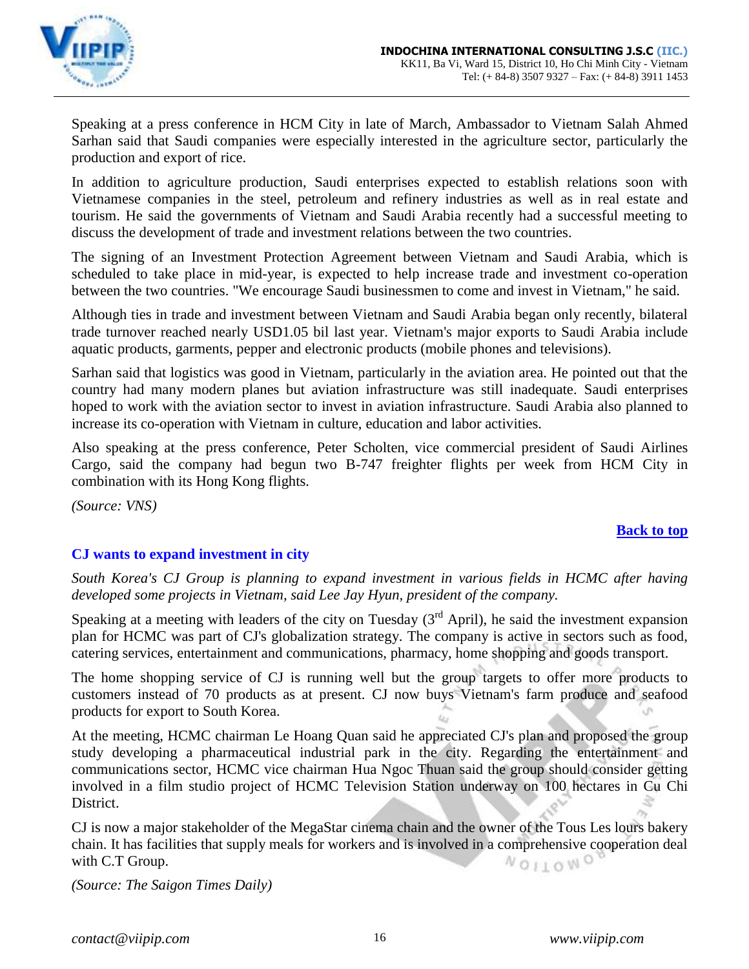

Speaking at a press conference in HCM City in late of March, Ambassador to Vietnam Salah Ahmed Sarhan said that Saudi companies were especially interested in the agriculture sector, particularly the production and export of rice.

In addition to agriculture production, Saudi enterprises expected to establish relations soon with Vietnamese companies in the steel, petroleum and refinery industries as well as in real estate and tourism. He said the governments of Vietnam and Saudi Arabia recently had a successful meeting to discuss the development of trade and investment relations between the two countries.

The signing of an Investment Protection Agreement between Vietnam and Saudi Arabia, which is scheduled to take place in mid-year, is expected to help increase trade and investment co-operation between the two countries. "We encourage Saudi businessmen to come and invest in Vietnam," he said.

Although ties in trade and investment between Vietnam and Saudi Arabia began only recently, bilateral trade turnover reached nearly USD1.05 bil last year. Vietnam's major exports to Saudi Arabia include aquatic products, garments, pepper and electronic products (mobile phones and televisions).

Sarhan said that logistics was good in Vietnam, particularly in the aviation area. He pointed out that the country had many modern planes but aviation infrastructure was still inadequate. Saudi enterprises hoped to work with the aviation sector to invest in aviation infrastructure. Saudi Arabia also planned to increase its co-operation with Vietnam in culture, education and labor activities.

Also speaking at the press conference, Peter Scholten, vice commercial president of Saudi Airlines Cargo, said the company had begun two B-747 freighter flights per week from HCM City in combination with its Hong Kong flights.

*(Source: VNS)*

### **[Back to top](#page-0-0)**

# <span id="page-15-0"></span>**CJ wants to expand investment in city**

*South Korea's CJ Group is planning to expand investment in various fields in HCMC after having developed some projects in Vietnam, said Lee Jay Hyun, president of the company.* 

Speaking at a meeting with leaders of the city on Tuesday  $3<sup>rd</sup>$  April), he said the investment expansion plan for HCMC was part of CJ's globalization strategy. The company is active in sectors such as food, catering services, entertainment and communications, pharmacy, home shopping and goods transport.

The home shopping service of CJ is running well but the group targets to offer more products to customers instead of 70 products as at present. CJ now buys Vietnam's farm produce and seafood products for export to South Korea.

At the meeting, HCMC chairman Le Hoang Quan said he appreciated CJ's plan and proposed the group study developing a pharmaceutical industrial park in the city. Regarding the entertainment and communications sector, HCMC vice chairman Hua Ngoc Thuan said the group should consider getting involved in a film studio project of HCMC Television Station underway on 100 hectares in Cu Chi District.

CJ is now a major stakeholder of the MegaStar cinema chain and the owner of the Tous Les lours bakery chain. It has facilities that supply meals for workers and is involved in a comprehensive cooperation deal NOILONO with C.T Group.

*(Source: The Saigon Times Daily)*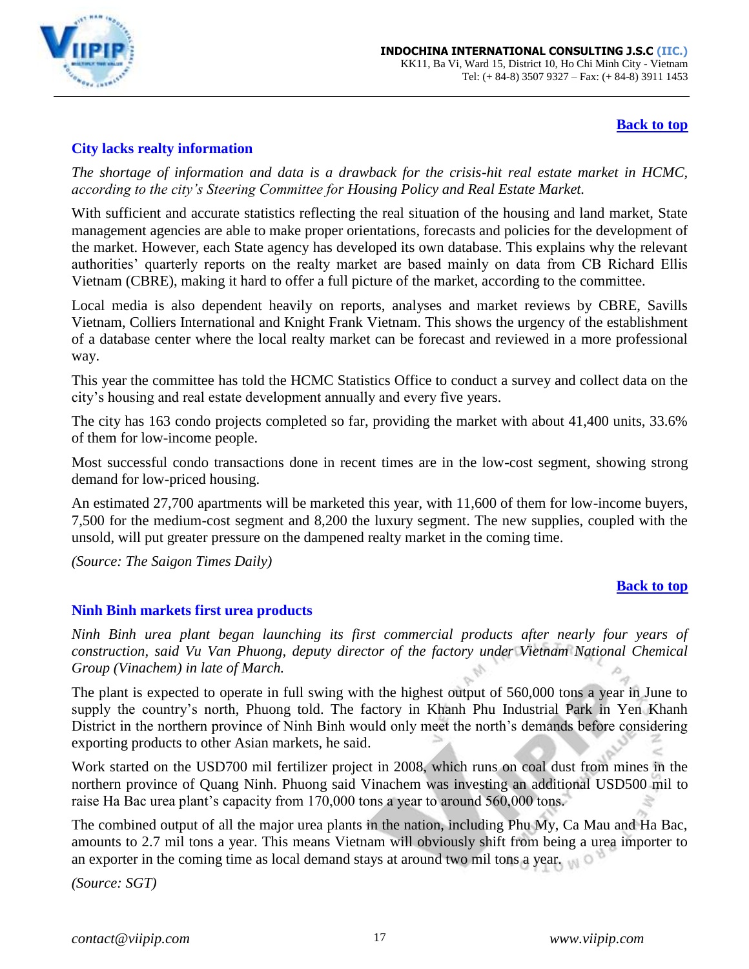

### **[Back to top](#page-0-0)**

# <span id="page-16-0"></span>**City lacks realty information**

*The shortage of information and data is a drawback for the crisis-hit real estate market in HCMC, according to the city's Steering Committee for Housing Policy and Real Estate Market.*

With sufficient and accurate statistics reflecting the real situation of the housing and land market, State management agencies are able to make proper orientations, forecasts and policies for the development of the market. However, each State agency has developed its own database. This explains why the relevant authorities' quarterly reports on the realty market are based mainly on data from CB Richard Ellis Vietnam (CBRE), making it hard to offer a full picture of the market, according to the committee.

Local media is also dependent heavily on reports, analyses and market reviews by CBRE, Savills Vietnam, Colliers International and Knight Frank Vietnam. This shows the urgency of the establishment of a database center where the local realty market can be forecast and reviewed in a more professional way.

This year the committee has told the HCMC Statistics Office to conduct a survey and collect data on the city's housing and real estate development annually and every five years.

The city has 163 condo projects completed so far, providing the market with about 41,400 units, 33.6% of them for low-income people.

Most successful condo transactions done in recent times are in the low-cost segment, showing strong demand for low-priced housing.

An estimated 27,700 apartments will be marketed this year, with 11,600 of them for low-income buyers, 7,500 for the medium-cost segment and 8,200 the luxury segment. The new supplies, coupled with the unsold, will put greater pressure on the dampened realty market in the coming time.

*(Source: The Saigon Times Daily)*

### **[Back to top](#page-0-0)**

### <span id="page-16-1"></span>**Ninh Binh markets first urea products**

*Ninh Binh urea plant began launching its first commercial products after nearly four years of construction, said Vu Van Phuong, deputy director of the factory under Vietnam National Chemical Group (Vinachem) in late of March.*

The plant is expected to operate in full swing with the highest output of 560,000 tons a year in June to supply the country's north, Phuong told. The factory in Khanh Phu Industrial Park in Yen Khanh District in the northern province of Ninh Binh would only meet the north's demands before considering exporting products to other Asian markets, he said.

Work started on the USD700 mil fertilizer project in 2008, which runs on coal dust from mines in the northern province of Quang Ninh. Phuong said Vinachem was investing an additional USD500 mil to raise Ha Bac urea plant's capacity from 170,000 tons a year to around 560,000 tons.

The combined output of all the major urea plants in the nation, including Phu My, Ca Mau and Ha Bac, amounts to 2.7 mil tons a year. This means Vietnam will obviously shift from being a urea importer to an exporter in the coming time as local demand stays at around two mil tons a year.

*(Source: SGT)*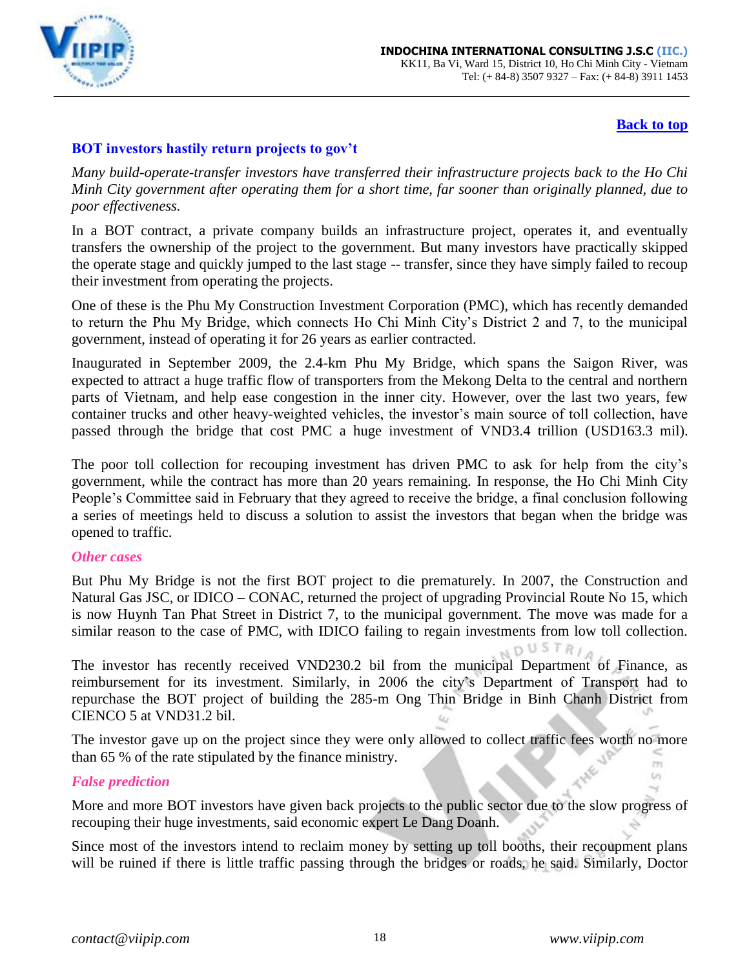

# **[Back to top](#page-0-0)**

# <span id="page-17-0"></span>**BOT investors hastily return projects to gov't**

*Many build-operate-transfer investors have transferred their infrastructure projects back to the Ho Chi Minh City government after operating them for a short time, far sooner than originally planned, due to poor effectiveness.*

In a BOT contract, a private company builds an infrastructure project, operates it, and eventually transfers the ownership of the project to the government. But many investors have practically skipped the operate stage and quickly jumped to the last stage -- transfer, since they have simply failed to recoup their investment from operating the projects.

One of these is the Phu My Construction Investment Corporation (PMC), which has recently demanded to return the Phu My Bridge, which connects Ho Chi Minh City's District 2 and 7, to the municipal government, instead of operating it for 26 years as earlier contracted.

Inaugurated in September 2009, the 2.4-km Phu My Bridge, which spans the Saigon River, was expected to attract a huge traffic flow of transporters from the Mekong Delta to the central and northern parts of Vietnam, and help ease congestion in the inner city. However, over the last two years, few container trucks and other heavy-weighted vehicles, the investor's main source of toll collection, have passed through the bridge that cost PMC a huge investment of VND3.4 trillion (USD163.3 mil).

The poor toll collection for recouping investment has driven PMC to ask for help from the city's government, while the contract has more than 20 years remaining. In response, the Ho Chi Minh City People's Committee said in February that they agreed to receive the bridge, a final conclusion following a series of meetings held to discuss a solution to assist the investors that began when the bridge was opened to traffic.

### *Other cases*

But Phu My Bridge is not the first BOT project to die prematurely. In 2007, the Construction and Natural Gas JSC, or IDICO – CONAC, returned the project of upgrading Provincial Route No 15, which is now Huynh Tan Phat Street in District 7, to the municipal government. The move was made for a similar reason to the case of PMC, with IDICO failing to regain investments from low toll collection.

**DUSTRIA** The investor has recently received VND230.2 bil from the municipal Department of Finance, as reimbursement for its investment. Similarly, in 2006 the city's Department of Transport had to repurchase the BOT project of building the 285-m Ong Thin Bridge in Binh Chanh District from CIENCO 5 at VND31.2 bil.

The investor gave up on the project since they were only allowed to collect traffic fees worth no more than 65 % of the rate stipulated by the finance ministry. m

### *False prediction*

More and more BOT investors have given back projects to the public sector due to the slow progress of recouping their huge investments, said economic expert Le Dang Doanh.

Since most of the investors intend to reclaim money by setting up toll booths, their recoupment plans will be ruined if there is little traffic passing through the bridges or roads, he said. Similarly, Doctor

 $\omega$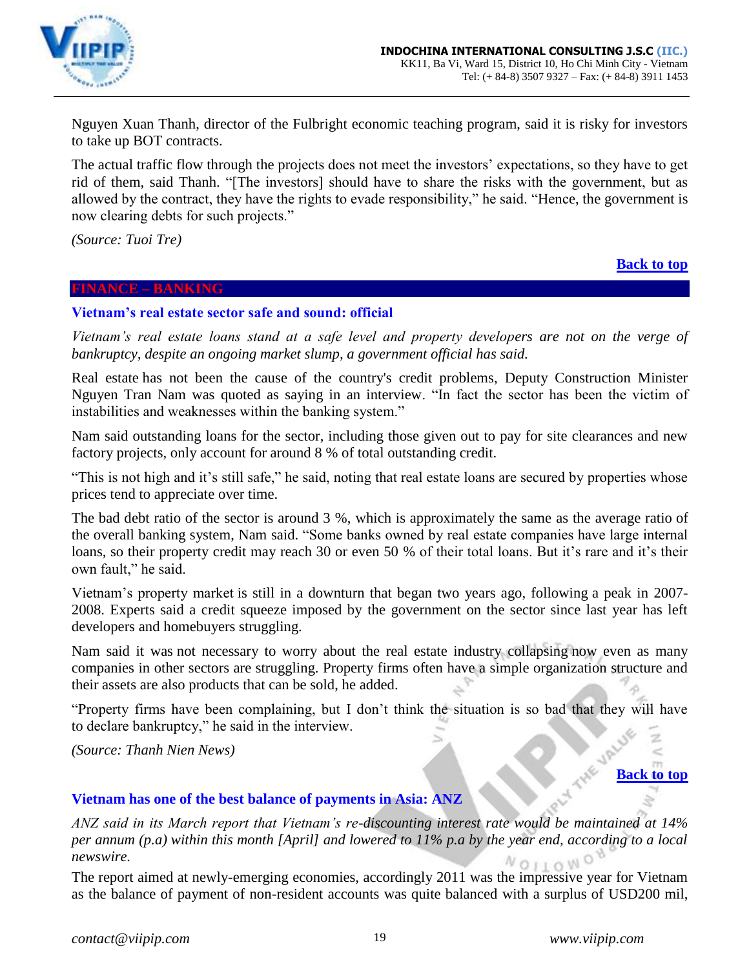

Nguyen Xuan Thanh, director of the Fulbright economic teaching program, said it is risky for investors to take up BOT contracts.

The actual traffic flow through the projects does not meet the investors' expectations, so they have to get rid of them, said Thanh. "[The investors] should have to share the risks with the government, but as allowed by the contract, they have the rights to evade responsibility," he said. "Hence, the government is now clearing debts for such projects."

*(Source: Tuoi Tre)*

### <span id="page-18-0"></span>**FINANCE – BANKING**

# **[Back to top](#page-0-0)**

# <span id="page-18-1"></span>**Vietnam's real estate sector safe and sound: official**

*Vietnam's real estate loans stand at a safe level and property developers are not on the verge of bankruptcy, despite an ongoing market slump, a government official has said.* 

Real estate has not been the cause of the country's credit problems, Deputy Construction Minister Nguyen Tran Nam was quoted as saying in an interview. "In fact the sector has been the victim of instabilities and weaknesses within the banking system."

Nam said outstanding loans for the sector, including those given out to pay for site clearances and new factory projects, only account for around 8 % of total outstanding credit.

"This is not high and it's still safe," he said, noting that real estate loans are secured by properties whose prices tend to appreciate over time.

The bad debt ratio of the sector is around 3 %, which is approximately the same as the average ratio of the overall banking system, Nam said. "Some banks owned by real estate companies have large internal loans, so their property credit may reach 30 or even 50 % of their total loans. But it's rare and it's their own fault," he said.

Vietnam's property market is still in a downturn that began two years ago, following a peak in 2007- 2008. Experts said a credit squeeze imposed by the government on the sector since last year has left developers and homebuyers struggling.

Nam said it was not necessary to worry about the real estate industry collapsing now even as many companies in other sectors are struggling. Property firms often have a simple organization structure and their assets are also products that can be sold, he added.

"Property firms have been complaining, but I don't think the situation is so bad that they will have to declare bankruptcy," he said in the interview.

*(Source: Thanh Nien News)*

# **[Back to top](#page-0-0)**

 $\,<$ 

### <span id="page-18-2"></span>**Vietnam has one of the best balance of payments in Asia: ANZ**

*ANZ said in its March report that Vietnam's re-discounting interest rate would be maintained at 14% per annum (p.a) within this month [April] and lowered to 11% p.a by the year end, according to a local newswire.*   $N$  O  $11$  O  $N$ <sup>O</sup>

The report aimed at newly-emerging economies, accordingly 2011 was the impressive year for Vietnam as the balance of payment of non-resident accounts was quite balanced with a surplus of USD200 mil,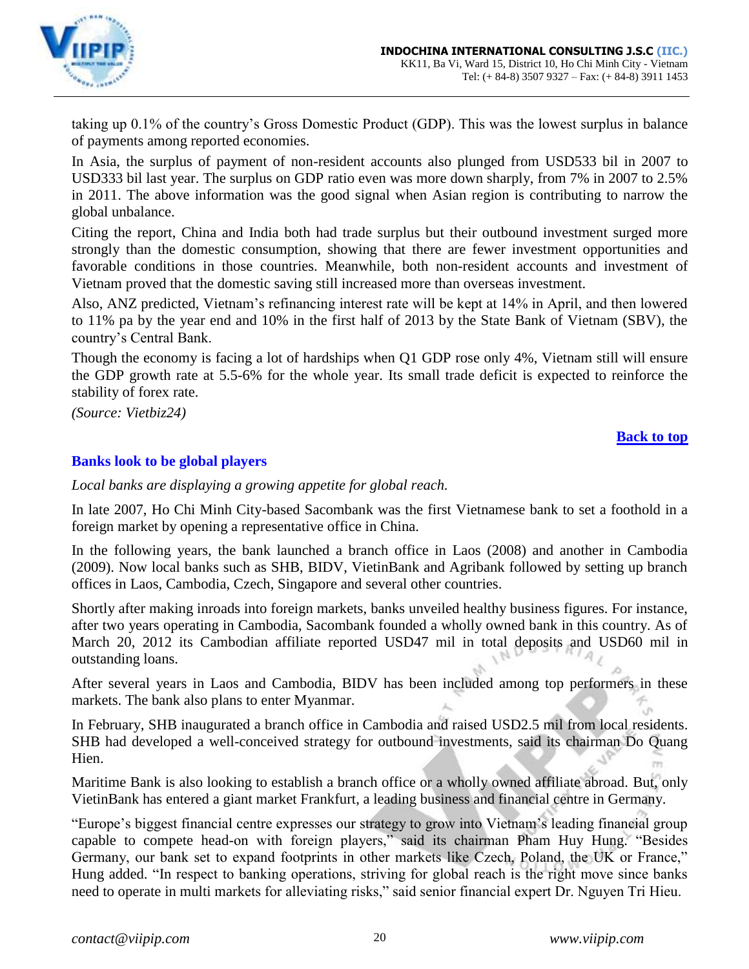

taking up 0.1% of the country's Gross Domestic Product (GDP). This was the lowest surplus in balance of payments among reported economies.

In Asia, the surplus of payment of non-resident accounts also plunged from USD533 bil in 2007 to USD333 bil last year. The surplus on GDP ratio even was more down sharply, from 7% in 2007 to 2.5% in 2011. The above information was the good signal when Asian region is contributing to narrow the global unbalance.

Citing the report, China and India both had trade surplus but their outbound investment surged more strongly than the domestic consumption, showing that there are fewer investment opportunities and favorable conditions in those countries. Meanwhile, both non-resident accounts and investment of Vietnam proved that the domestic saving still increased more than overseas investment.

Also, ANZ predicted, Vietnam's refinancing interest rate will be kept at 14% in April, and then lowered to 11% pa by the year end and 10% in the first half of 2013 by the State Bank of Vietnam (SBV), the country's Central Bank.

Though the economy is facing a lot of hardships when Q1 GDP rose only 4%, Vietnam still will ensure the GDP growth rate at 5.5-6% for the whole year. Its small trade deficit is expected to reinforce the stability of forex rate.

*(Source: Vietbiz24)*

# **[Back to top](#page-0-0)**

# <span id="page-19-0"></span>**Banks look to be global players**

*Local banks are displaying a growing appetite for global reach.*

In late 2007, Ho Chi Minh City-based Sacombank was the first Vietnamese bank to set a foothold in a foreign market by opening a representative office in China.

In the following years, the bank launched a branch office in Laos (2008) and another in Cambodia (2009). Now local banks such as SHB, BIDV, VietinBank and Agribank followed by setting up branch offices in Laos, Cambodia, Czech, Singapore and several other countries.

Shortly after making inroads into foreign markets, banks unveiled healthy business figures. For instance, after two years operating in Cambodia, Sacombank founded a wholly owned bank in this country. As of March 20, 2012 its Cambodian affiliate reported USD47 mil in total deposits and USD60 mil in outstanding loans.

After several years in Laos and Cambodia, BIDV has been included among top performers in these markets. The bank also plans to enter Myanmar.

In February, SHB inaugurated a branch office in Cambodia and raised USD2.5 mil from local residents. SHB had developed a well-conceived strategy for outbound investments, said its chairman Do Quang Hien.

Maritime Bank is also looking to establish a branch office or a wholly owned affiliate abroad. But, only VietinBank has entered a giant market Frankfurt, a leading business and financial centre in Germany.

"Europe's biggest financial centre expresses our strategy to grow into Vietnam's leading financial group capable to compete head-on with foreign players," said its chairman Pham Huy Hung. "Besides Germany, our bank set to expand footprints in other markets like Czech, Poland, the UK or France," Hung added. "In respect to banking operations, striving for global reach is the right move since banks need to operate in multi markets for alleviating risks," said senior financial expert Dr. Nguyen Tri Hieu.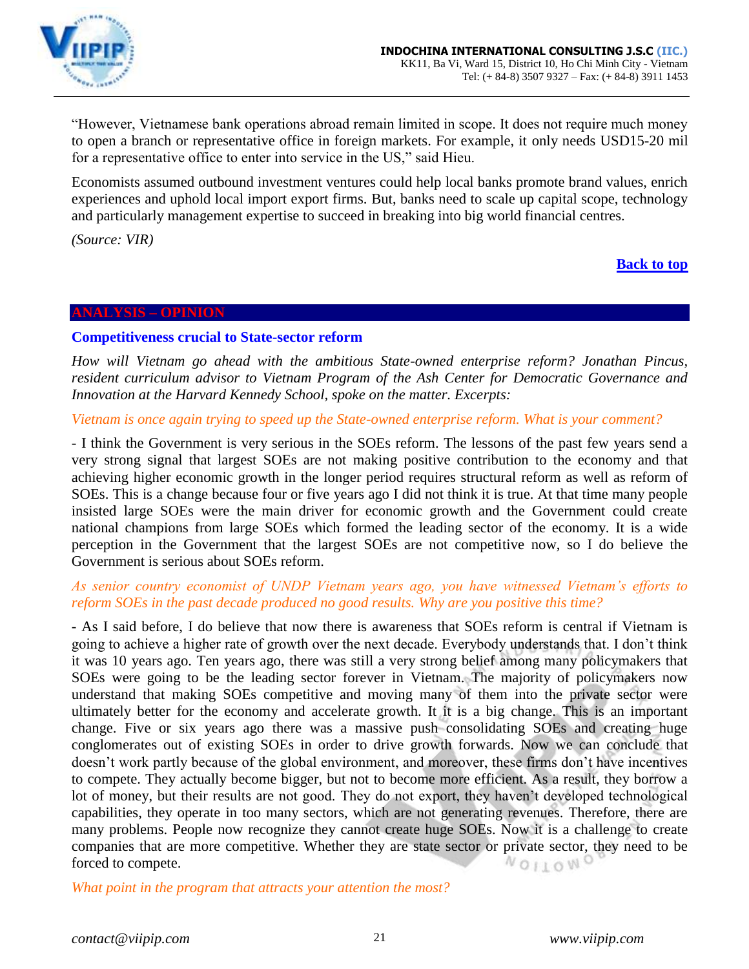

"However, Vietnamese bank operations abroad remain limited in scope. It does not require much money to open a branch or representative office in foreign markets. For example, it only needs USD15-20 mil for a representative office to enter into service in the US," said Hieu.

Economists assumed outbound investment ventures could help local banks promote brand values, enrich experiences and uphold local import export firms. But, banks need to scale up capital scope, technology and particularly management expertise to succeed in breaking into big world financial centres.

*(Source: VIR)*

**[Back to top](#page-0-0)**

### <span id="page-20-0"></span>**ANALYSIS – OPINION**

### <span id="page-20-1"></span>**Competitiveness crucial to State-sector reform**

*How will Vietnam go ahead with the ambitious State-owned enterprise reform? Jonathan Pincus, resident curriculum advisor to Vietnam Program of the Ash Center for Democratic Governance and Innovation at the Harvard Kennedy School, spoke on the matter. Excerpts:*

*Vietnam is once again trying to speed up the State-owned enterprise reform. What is your comment?*

- I think the Government is very serious in the SOEs reform. The lessons of the past few years send a very strong signal that largest SOEs are not making positive contribution to the economy and that achieving higher economic growth in the longer period requires structural reform as well as reform of SOEs. This is a change because four or five years ago I did not think it is true. At that time many people insisted large SOEs were the main driver for economic growth and the Government could create national champions from large SOEs which formed the leading sector of the economy. It is a wide perception in the Government that the largest SOEs are not competitive now, so I do believe the Government is serious about SOEs reform.

### *As senior country economist of UNDP Vietnam years ago, you have witnessed Vietnam's efforts to reform SOEs in the past decade produced no good results. Why are you positive this time?*

- As I said before, I do believe that now there is awareness that SOEs reform is central if Vietnam is going to achieve a higher rate of growth over the next decade. Everybody understands that. I don't think it was 10 years ago. Ten years ago, there was still a very strong belief among many policymakers that SOEs were going to be the leading sector forever in Vietnam. The majority of policymakers now understand that making SOEs competitive and moving many of them into the private sector were ultimately better for the economy and accelerate growth. It it is a big change. This is an important change. Five or six years ago there was a massive push consolidating SOEs and creating huge conglomerates out of existing SOEs in order to drive growth forwards. Now we can conclude that doesn't work partly because of the global environment, and moreover, these firms don't have incentives to compete. They actually become bigger, but not to become more efficient. As a result, they borrow a lot of money, but their results are not good. They do not export, they haven't developed technological capabilities, they operate in too many sectors, which are not generating revenues. Therefore, there are many problems. People now recognize they cannot create huge SOEs. Now it is a challenge to create companies that are more competitive. Whether they are state sector or private sector, they need to be forced to compete. NOILOWO

*What point in the program that attracts your attention the most?*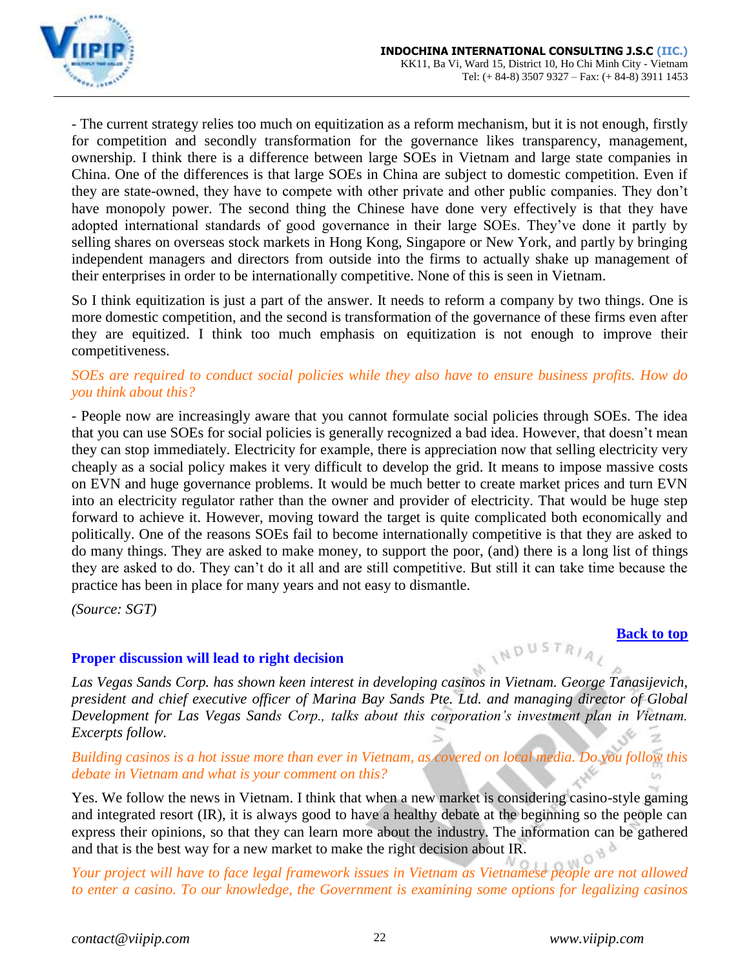

- The current strategy relies too much on equitization as a reform mechanism, but it is not enough, firstly for competition and secondly transformation for the governance likes transparency, management, ownership. I think there is a difference between large SOEs in Vietnam and large state companies in China. One of the differences is that large SOEs in China are subject to domestic competition. Even if they are state-owned, they have to compete with other private and other public companies. They don't have monopoly power. The second thing the Chinese have done very effectively is that they have adopted international standards of good governance in their large SOEs. They've done it partly by selling shares on overseas stock markets in Hong Kong, Singapore or New York, and partly by bringing independent managers and directors from outside into the firms to actually shake up management of their enterprises in order to be internationally competitive. None of this is seen in Vietnam.

So I think equitization is just a part of the answer. It needs to reform a company by two things. One is more domestic competition, and the second is transformation of the governance of these firms even after they are equitized. I think too much emphasis on equitization is not enough to improve their competitiveness.

# *SOEs are required to conduct social policies while they also have to ensure business profits. How do you think about this?*

- People now are increasingly aware that you cannot formulate social policies through SOEs. The idea that you can use SOEs for social policies is generally recognized a bad idea. However, that doesn't mean they can stop immediately. Electricity for example, there is appreciation now that selling electricity very cheaply as a social policy makes it very difficult to develop the grid. It means to impose massive costs on EVN and huge governance problems. It would be much better to create market prices and turn EVN into an electricity regulator rather than the owner and provider of electricity. That would be huge step forward to achieve it. However, moving toward the target is quite complicated both economically and politically. One of the reasons SOEs fail to become internationally competitive is that they are asked to do many things. They are asked to make money, to support the poor, (and) there is a long list of things they are asked to do. They can't do it all and are still competitive. But still it can take time because the practice has been in place for many years and not easy to dismantle.

*(Source: SGT)*

### <span id="page-21-0"></span>**Proper discussion will lead to right decision**

*Las Vegas Sands Corp. has shown keen interest in developing casinos in Vietnam. George Tanasijevich, president and chief executive officer of Marina Bay Sands Pte. Ltd. and managing director of Global Development for Las Vegas Sands Corp., talks about this corporation's investment plan in Vietnam. Excerpts follow.*

### *Building casinos is a hot issue more than ever in Vietnam, as covered on local media. Do you follow this debate in Vietnam and what is your comment on this?* t/s

Yes. We follow the news in Vietnam. I think that when a new market is considering casino-style gaming and integrated resort (IR), it is always good to have a healthy debate at the beginning so the people can express their opinions, so that they can learn more about the industry. The information can be gathered and that is the best way for a new market to make the right decision about IR.

*Your project will have to face legal framework issues in Vietnam as Vietnamese people are not allowed to enter a casino. To our knowledge, the Government is examining some options for legalizing casinos* 

INDUSTRIAL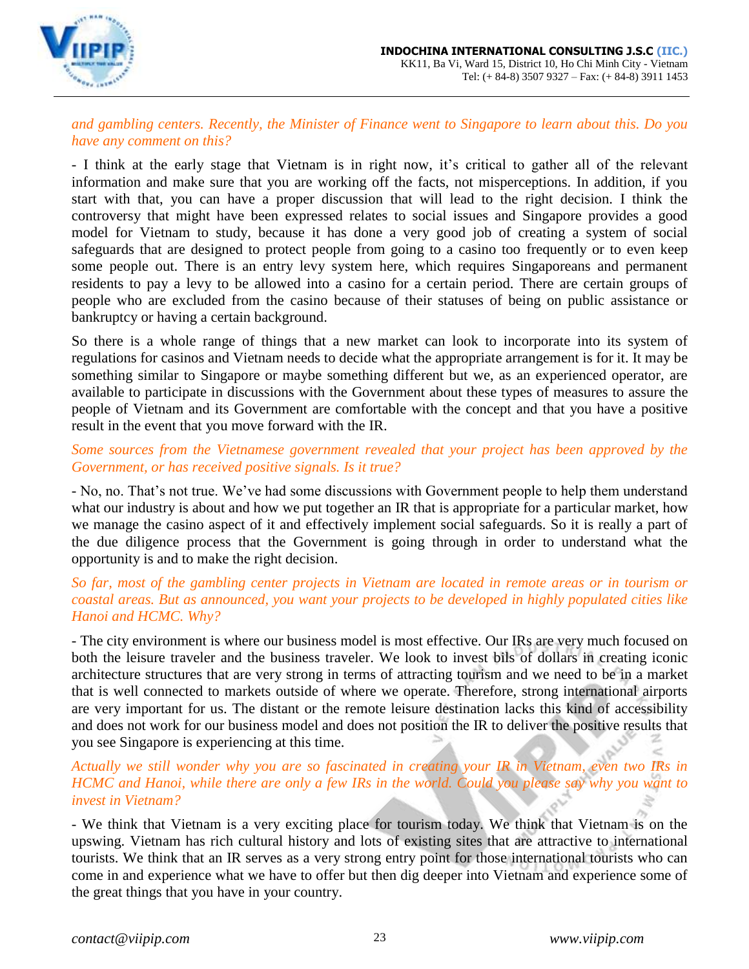

*and gambling centers. Recently, the Minister of Finance went to Singapore to learn about this. Do you have any comment on this?*

- I think at the early stage that Vietnam is in right now, it's critical to gather all of the relevant information and make sure that you are working off the facts, not misperceptions. In addition, if you start with that, you can have a proper discussion that will lead to the right decision. I think the controversy that might have been expressed relates to social issues and Singapore provides a good model for Vietnam to study, because it has done a very good job of creating a system of social safeguards that are designed to protect people from going to a casino too frequently or to even keep some people out. There is an entry levy system here, which requires Singaporeans and permanent residents to pay a levy to be allowed into a casino for a certain period. There are certain groups of people who are excluded from the casino because of their statuses of being on public assistance or bankruptcy or having a certain background.

So there is a whole range of things that a new market can look to incorporate into its system of regulations for casinos and Vietnam needs to decide what the appropriate arrangement is for it. It may be something similar to Singapore or maybe something different but we, as an experienced operator, are available to participate in discussions with the Government about these types of measures to assure the people of Vietnam and its Government are comfortable with the concept and that you have a positive result in the event that you move forward with the IR.

### *Some sources from the Vietnamese government revealed that your project has been approved by the Government, or has received positive signals. Is it true?*

- No, no. That's not true. We've had some discussions with Government people to help them understand what our industry is about and how we put together an IR that is appropriate for a particular market, how we manage the casino aspect of it and effectively implement social safeguards. So it is really a part of the due diligence process that the Government is going through in order to understand what the opportunity is and to make the right decision.

# *So far, most of the gambling center projects in Vietnam are located in remote areas or in tourism or coastal areas. But as announced, you want your projects to be developed in highly populated cities like Hanoi and HCMC. Why?*

- The city environment is where our business model is most effective. Our IRs are very much focused on both the leisure traveler and the business traveler. We look to invest bils of dollars in creating iconic architecture structures that are very strong in terms of attracting tourism and we need to be in a market that is well connected to markets outside of where we operate. Therefore, strong international airports are very important for us. The distant or the remote leisure destination lacks this kind of accessibility and does not work for our business model and does not position the IR to deliver the positive results that you see Singapore is experiencing at this time.

# *Actually we still wonder why you are so fascinated in creating your IR in Vietnam, even two IRs in HCMC and Hanoi, while there are only a few IRs in the world. Could you please say why you want to invest in Vietnam?*

- We think that Vietnam is a very exciting place for tourism today. We think that Vietnam is on the upswing. Vietnam has rich cultural history and lots of existing sites that are attractive to international tourists. We think that an IR serves as a very strong entry point for those international tourists who can come in and experience what we have to offer but then dig deeper into Vietnam and experience some of the great things that you have in your country.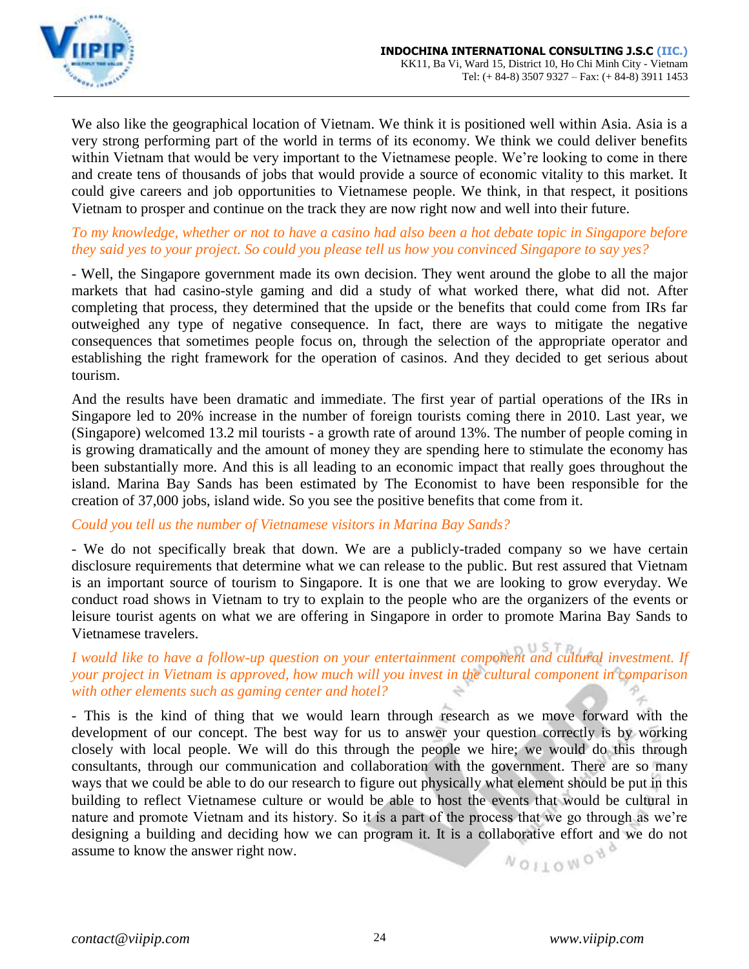

We also like the geographical location of Vietnam. We think it is positioned well within Asia. Asia is a very strong performing part of the world in terms of its economy. We think we could deliver benefits within Vietnam that would be very important to the Vietnamese people. We're looking to come in there and create tens of thousands of jobs that would provide a source of economic vitality to this market. It could give careers and job opportunities to Vietnamese people. We think, in that respect, it positions Vietnam to prosper and continue on the track they are now right now and well into their future.

### *To my knowledge, whether or not to have a casino had also been a hot debate topic in Singapore before they said yes to your project. So could you please tell us how you convinced Singapore to say yes?*

- Well, the Singapore government made its own decision. They went around the globe to all the major markets that had casino-style gaming and did a study of what worked there, what did not. After completing that process, they determined that the upside or the benefits that could come from IRs far outweighed any type of negative consequence. In fact, there are ways to mitigate the negative consequences that sometimes people focus on, through the selection of the appropriate operator and establishing the right framework for the operation of casinos. And they decided to get serious about tourism.

And the results have been dramatic and immediate. The first year of partial operations of the IRs in Singapore led to 20% increase in the number of foreign tourists coming there in 2010. Last year, we (Singapore) welcomed 13.2 mil tourists - a growth rate of around 13%. The number of people coming in is growing dramatically and the amount of money they are spending here to stimulate the economy has been substantially more. And this is all leading to an economic impact that really goes throughout the island. Marina Bay Sands has been estimated by The Economist to have been responsible for the creation of 37,000 jobs, island wide. So you see the positive benefits that come from it.

### *Could you tell us the number of Vietnamese visitors in Marina Bay Sands?*

- We do not specifically break that down. We are a publicly-traded company so we have certain disclosure requirements that determine what we can release to the public. But rest assured that Vietnam is an important source of tourism to Singapore. It is one that we are looking to grow everyday. We conduct road shows in Vietnam to try to explain to the people who are the organizers of the events or leisure tourist agents on what we are offering in Singapore in order to promote Marina Bay Sands to Vietnamese travelers.

# *I would like to have a follow-up question on your entertainment component and cultural investment. If your project in Vietnam is approved, how much will you invest in the cultural component in comparison with other elements such as gaming center and hotel?*

- This is the kind of thing that we would learn through research as we move forward with the development of our concept. The best way for us to answer your question correctly is by working closely with local people. We will do this through the people we hire; we would do this through consultants, through our communication and collaboration with the government. There are so many ways that we could be able to do our research to figure out physically what element should be put in this building to reflect Vietnamese culture or would be able to host the events that would be cultural in nature and promote Vietnam and its history. So it is a part of the process that we go through as we're designing a building and deciding how we can program it. It is a collaborative effort and we do not assume to know the answer right now.WOILOWOND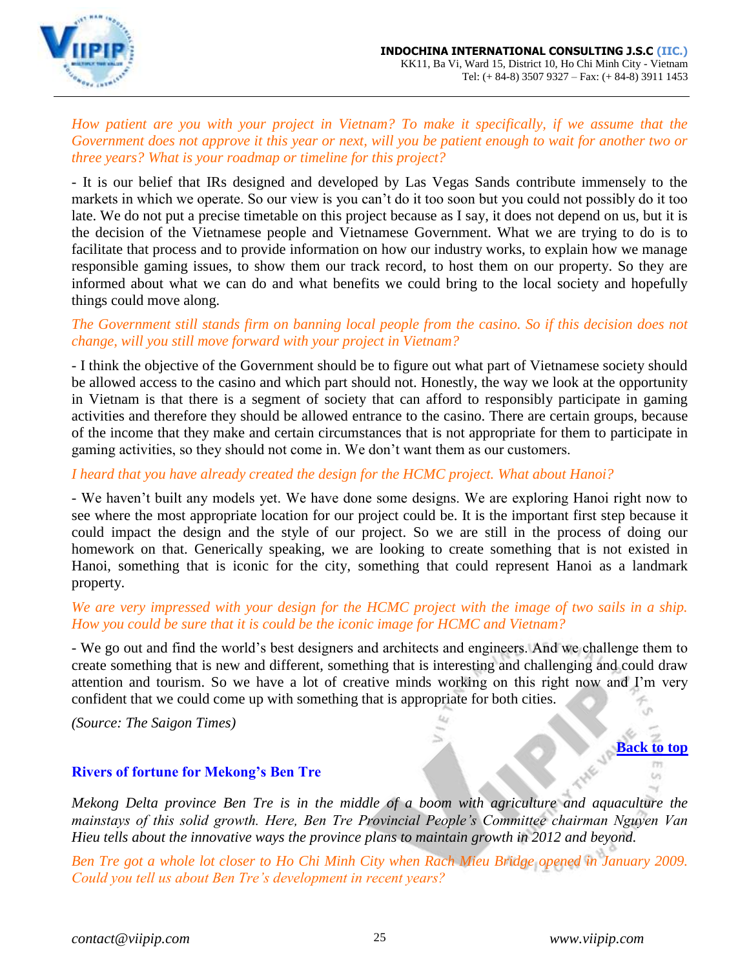

*How patient are you with your project in Vietnam? To make it specifically, if we assume that the Government does not approve it this year or next, will you be patient enough to wait for another two or three years? What is your roadmap or timeline for this project?*

- It is our belief that IRs designed and developed by Las Vegas Sands contribute immensely to the markets in which we operate. So our view is you can't do it too soon but you could not possibly do it too late. We do not put a precise timetable on this project because as I say, it does not depend on us, but it is the decision of the Vietnamese people and Vietnamese Government. What we are trying to do is to facilitate that process and to provide information on how our industry works, to explain how we manage responsible gaming issues, to show them our track record, to host them on our property. So they are informed about what we can do and what benefits we could bring to the local society and hopefully things could move along.

# *The Government still stands firm on banning local people from the casino. So if this decision does not change, will you still move forward with your project in Vietnam?*

- I think the objective of the Government should be to figure out what part of Vietnamese society should be allowed access to the casino and which part should not. Honestly, the way we look at the opportunity in Vietnam is that there is a segment of society that can afford to responsibly participate in gaming activities and therefore they should be allowed entrance to the casino. There are certain groups, because of the income that they make and certain circumstances that is not appropriate for them to participate in gaming activities, so they should not come in. We don't want them as our customers.

*I heard that you have already created the design for the HCMC project. What about Hanoi?*

- We haven't built any models yet. We have done some designs. We are exploring Hanoi right now to see where the most appropriate location for our project could be. It is the important first step because it could impact the design and the style of our project. So we are still in the process of doing our homework on that. Generically speaking, we are looking to create something that is not existed in Hanoi, something that is iconic for the city, something that could represent Hanoi as a landmark property.

*We are very impressed with your design for the HCMC project with the image of two sails in a ship. How you could be sure that it is could be the iconic image for HCMC and Vietnam?*

- We go out and find the world's best designers and architects and engineers. And we challenge them to create something that is new and different, something that is interesting and challenging and could draw attention and tourism. So we have a lot of creative minds working on this right now and I'm very confident that we could come up with something that is appropriate for both cities.

*(Source: The Saigon Times)*

### <span id="page-24-0"></span>**Rivers of fortune for Mekong's Ben Tre**

*Mekong Delta province Ben Tre is in the middle of a boom with agriculture and aquaculture the mainstays of this solid growth. Here, Ben Tre Provincial People's Committee chairman Nguyen Van Hieu tells about the innovative ways the province plans to maintain growth in 2012 and beyond.*

Ben Tre got a whole lot closer to Ho Chi Minh City when Rach Mieu Bridge opened in January 2009. *Could you tell us about Ben Tre's development in recent years?*

**[Back to top](#page-0-0)**

 $TT$  $\omega$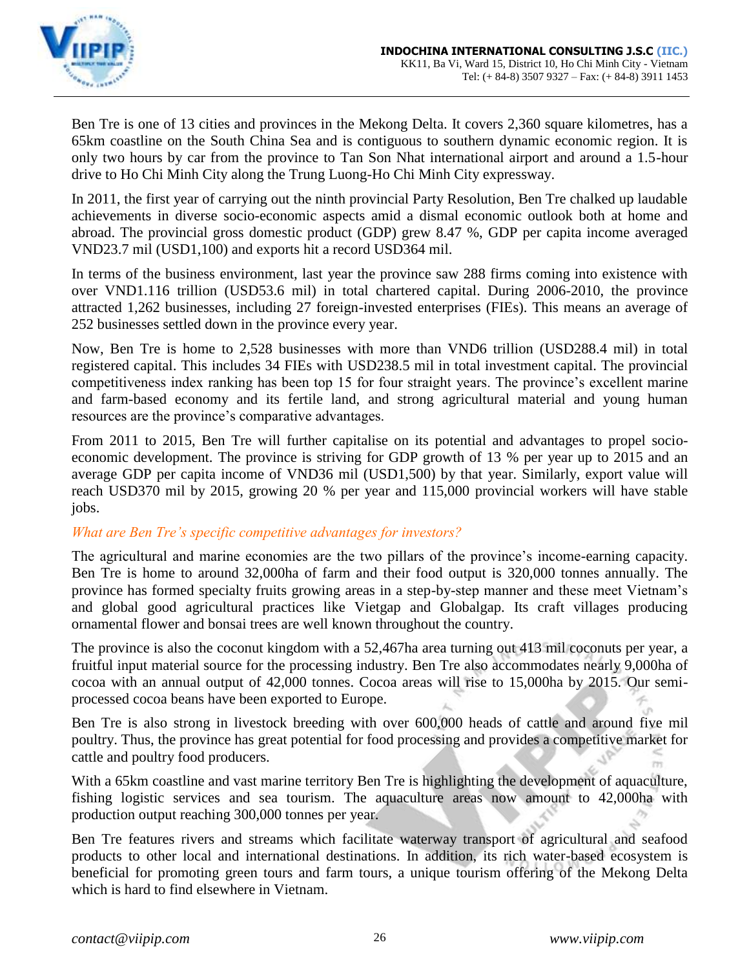

Ben Tre is one of 13 cities and provinces in the Mekong Delta. It covers 2,360 square kilometres, has a 65km coastline on the South China Sea and is contiguous to southern dynamic economic region. It is only two hours by car from the province to Tan Son Nhat international airport and around a 1.5-hour drive to Ho Chi Minh City along the Trung Luong-Ho Chi Minh City expressway.

In 2011, the first year of carrying out the ninth provincial Party Resolution, Ben Tre chalked up laudable achievements in diverse socio-economic aspects amid a dismal economic outlook both at home and abroad. The provincial gross domestic product (GDP) grew 8.47 %, GDP per capita income averaged VND23.7 mil (USD1,100) and exports hit a record USD364 mil.

In terms of the business environment, last year the province saw 288 firms coming into existence with over VND1.116 trillion (USD53.6 mil) in total chartered capital. During 2006-2010, the province attracted 1,262 businesses, including 27 foreign-invested enterprises (FIEs). This means an average of 252 businesses settled down in the province every year.

Now, Ben Tre is home to 2,528 businesses with more than VND6 trillion (USD288.4 mil) in total registered capital. This includes 34 FIEs with USD238.5 mil in total investment capital. The provincial competitiveness index ranking has been top 15 for four straight years. The province's excellent marine and farm-based economy and its fertile land, and strong agricultural material and young human resources are the province's comparative advantages.

From 2011 to 2015, Ben Tre will further capitalise on its potential and advantages to propel socioeconomic development. The province is striving for GDP growth of 13 % per year up to 2015 and an average GDP per capita income of VND36 mil (USD1,500) by that year. Similarly, export value will reach USD370 mil by 2015, growing 20 % per year and 115,000 provincial workers will have stable jobs.

# *What are Ben Tre's specific competitive advantages for investors?*

The agricultural and marine economies are the two pillars of the province's income-earning capacity. Ben Tre is home to around 32,000ha of farm and their food output is 320,000 tonnes annually. The province has formed specialty fruits growing areas in a step-by-step manner and these meet Vietnam's and global good agricultural practices like Vietgap and Globalgap. Its craft villages producing ornamental flower and bonsai trees are well known throughout the country.

The province is also the coconut kingdom with a 52,467ha area turning out 413 mil coconuts per year, a fruitful input material source for the processing industry. Ben Tre also accommodates nearly 9,000ha of cocoa with an annual output of 42,000 tonnes. Cocoa areas will rise to 15,000ha by 2015. Our semiprocessed cocoa beans have been exported to Europe.

Ben Tre is also strong in livestock breeding with over 600,000 heads of cattle and around five mil poultry. Thus, the province has great potential for food processing and provides a competitive market for cattle and poultry food producers.

With a 65km coastline and vast marine territory Ben Tre is highlighting the development of aquaculture, fishing logistic services and sea tourism. The aquaculture areas now amount to 42,000ha with production output reaching 300,000 tonnes per year.

Ben Tre features rivers and streams which facilitate waterway transport of agricultural and seafood products to other local and international destinations. In addition, its rich water-based ecosystem is beneficial for promoting green tours and farm tours, a unique tourism offering of the Mekong Delta which is hard to find elsewhere in Vietnam.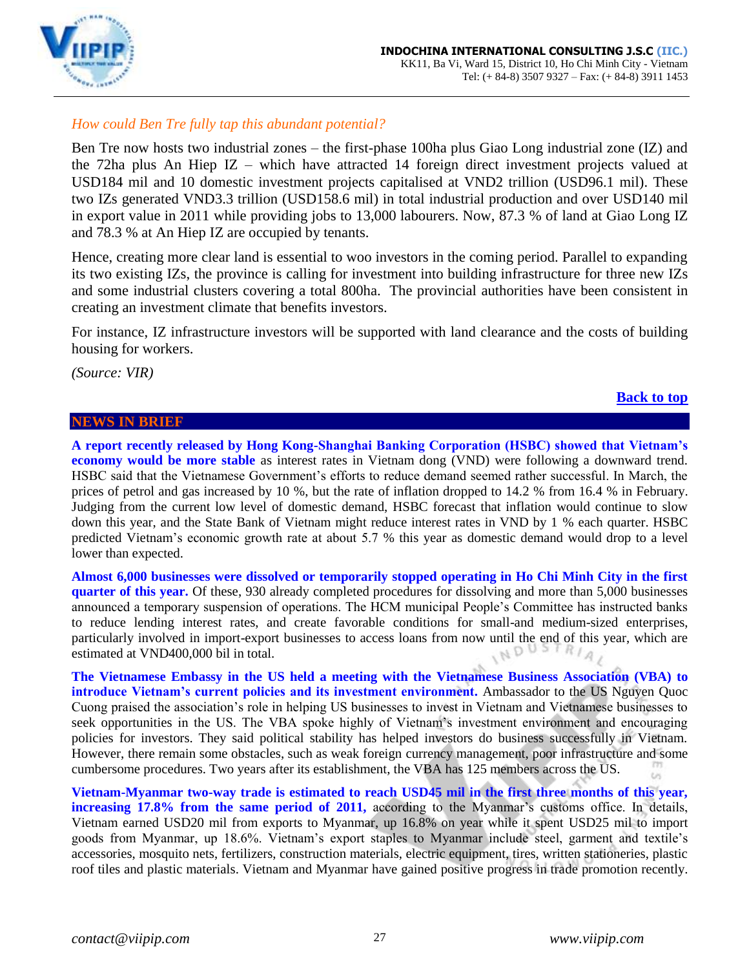

# *How could Ben Tre fully tap this abundant potential?*

Ben Tre now hosts two industrial zones – the first-phase 100ha plus Giao Long industrial zone (IZ) and the 72ha plus An Hiep IZ – which have attracted 14 foreign direct investment projects valued at USD184 mil and 10 domestic investment projects capitalised at VND2 trillion (USD96.1 mil). These two IZs generated VND3.3 trillion (USD158.6 mil) in total industrial production and over USD140 mil in export value in 2011 while providing jobs to 13,000 labourers. Now, 87.3 % of land at Giao Long IZ and 78.3 % at An Hiep IZ are occupied by tenants.

Hence, creating more clear land is essential to woo investors in the coming period. Parallel to expanding its two existing IZs, the province is calling for investment into building infrastructure for three new IZs and some industrial clusters covering a total 800ha. The provincial authorities have been consistent in creating an investment climate that benefits investors.

For instance, IZ infrastructure investors will be supported with land clearance and the costs of building housing for workers.

*(Source: VIR)*

### <span id="page-26-0"></span>**NEWS IN BRIEF**

### **A report recently released by Hong Kong-Shanghai Banking Corporation (HSBC) showed that Vietnam's economy would be more stable** as interest rates in Vietnam dong (VND) were following a downward trend. HSBC said that the Vietnamese Government's efforts to reduce demand seemed rather successful. In March, the prices of petrol and gas increased by 10 %, but the rate of inflation dropped to 14.2 % from 16.4 % in February. Judging from the current low level of domestic demand, HSBC forecast that inflation would continue to slow down this year, and the State Bank of Vietnam might reduce interest rates in VND by 1 % each quarter. HSBC predicted Vietnam's economic growth rate at about 5.7 % this year as domestic demand would drop to a level lower than expected.

**Almost 6,000 businesses were dissolved or temporarily stopped operating in Ho Chi Minh City in the first quarter of this year.** Of these, 930 already completed procedures for dissolving and more than 5,000 businesses announced a temporary suspension of operations. The HCM municipal People's Committee has instructed banks to reduce lending interest rates, and create favorable conditions for small-and medium-sized enterprises, particularly involved in import-export businesses to access loans from now until the end of this year, which are estimated at VND400,000 bil in total. IND

**The Vietnamese Embassy in the US held a meeting with the Vietnamese Business Association (VBA) to introduce Vietnam's current policies and its investment environment.** Ambassador to the US Nguyen Quoc Cuong praised the association's role in helping US businesses to invest in Vietnam and Vietnamese businesses to seek opportunities in the US. The VBA spoke highly of Vietnam's investment environment and encouraging policies for investors. They said political stability has helped investors do business successfully in Vietnam. However, there remain some obstacles, such as weak foreign currency management, poor infrastructure and some cumbersome procedures. Two years after its establishment, the VBA has 125 members across the US. t.

**Vietnam-Myanmar two-way trade is estimated to reach USD45 mil in the first three months of this year, increasing 17.8% from the same period of 2011,** according to the Myanmar's customs office. In details, Vietnam earned USD20 mil from exports to Myanmar, up 16.8% on year while it spent USD25 mil to import goods from Myanmar, up 18.6%. Vietnam's export staples to Myanmar include steel, garment and textile's accessories, mosquito nets, fertilizers, construction materials, electric equipment, tires, written stationeries, plastic roof tiles and plastic materials. Vietnam and Myanmar have gained positive progress in trade promotion recently.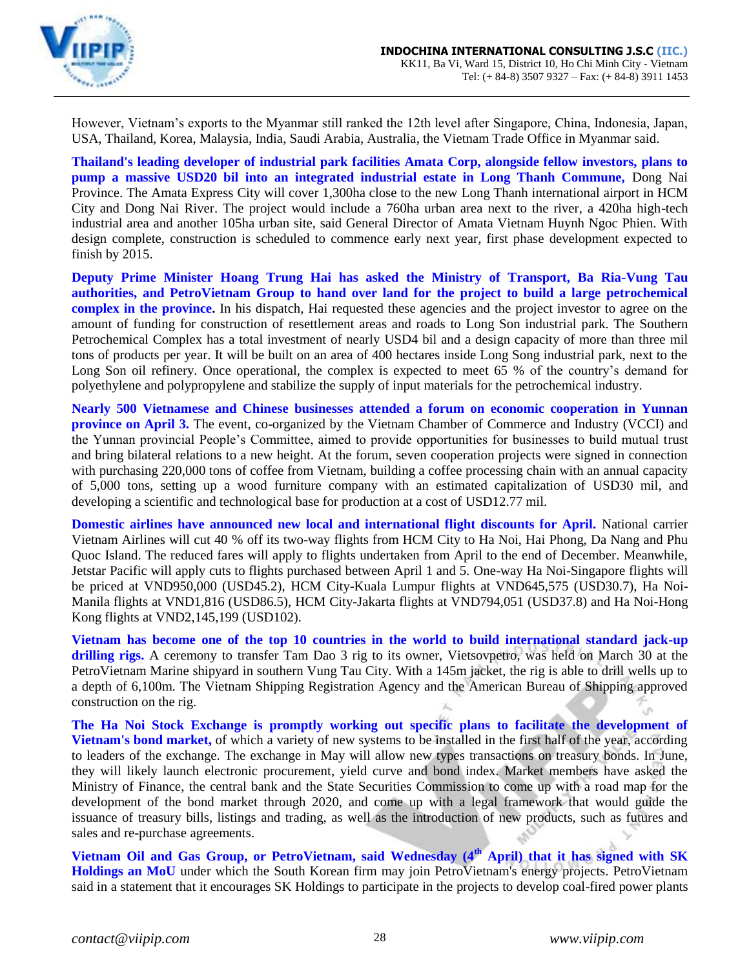

However, Vietnam's exports to the Myanmar still ranked the 12th level after Singapore, China, Indonesia, Japan, USA, Thailand, Korea, Malaysia, India, Saudi Arabia, Australia, the Vietnam Trade Office in Myanmar said.

**Thailand's leading developer of industrial park facilities Amata Corp, alongside fellow investors, plans to pump a massive USD20 bil into an integrated industrial estate in Long Thanh Commune,** Dong Nai Province. The Amata Express City will cover 1,300ha close to the new Long Thanh international airport in HCM City and Dong Nai River. The project would include a 760ha urban area next to the river, a 420ha high-tech industrial area and another 105ha urban site, said General Director of Amata Vietnam Huynh Ngoc Phien. With design complete, construction is scheduled to commence early next year, first phase development expected to finish by 2015.

**Deputy Prime Minister Hoang Trung Hai has asked the Ministry of Transport, Ba Ria-Vung Tau authorities, and PetroVietnam Group to hand over land for the project to build a large petrochemical complex in the province.** In his dispatch, Hai requested these agencies and the project investor to agree on the amount of funding for construction of resettlement areas and roads to Long Son industrial park. The Southern Petrochemical Complex has a total investment of nearly USD4 bil and a design capacity of more than three mil tons of products per year. It will be built on an area of 400 hectares inside Long Song industrial park, next to the Long Son oil refinery. Once operational, the complex is expected to meet 65 % of the country's demand for polyethylene and polypropylene and stabilize the supply of input materials for the petrochemical industry.

**Nearly 500 Vietnamese and Chinese businesses attended a forum on economic cooperation in Yunnan province on April 3.** The event, co-organized by the Vietnam Chamber of Commerce and Industry (VCCI) and the Yunnan provincial People's Committee, aimed to provide opportunities for businesses to build mutual trust and bring bilateral relations to a new height. At the forum, seven cooperation projects were signed in connection with purchasing 220,000 tons of coffee from Vietnam, building a coffee processing chain with an annual capacity of 5,000 tons, setting up a wood furniture company with an estimated capitalization of USD30 mil, and developing a scientific and technological base for production at a cost of USD12.77 mil.

**Domestic airlines have announced new local and international flight discounts for April.** National carrier Vietnam Airlines will cut 40 % off its two-way flights from HCM City to Ha Noi, Hai Phong, Da Nang and Phu Quoc Island. The reduced fares will apply to flights undertaken from April to the end of December. Meanwhile, Jetstar Pacific will apply cuts to flights purchased between April 1 and 5. One-way Ha Noi-Singapore flights will be priced at VND950,000 (USD45.2), HCM City-Kuala Lumpur flights at VND645,575 (USD30.7), Ha Noi-Manila flights at VND1,816 (USD86.5), HCM City-Jakarta flights at VND794,051 (USD37.8) and Ha Noi-Hong Kong flights at VND2,145,199 (USD102).

**Vietnam has become one of the top 10 countries in the world to build international standard jack-up drilling rigs.** A ceremony to transfer Tam Dao 3 rig to its owner, Vietsovpetro, was held on March 30 at the PetroVietnam Marine shipyard in southern Vung Tau City. With a 145m jacket, the rig is able to drill wells up to a depth of 6,100m. The Vietnam Shipping Registration Agency and the American Bureau of Shipping approved construction on the rig.

**The Ha Noi Stock Exchange is promptly working out specific plans to facilitate the development of Vietnam's bond market,** of which a variety of new systems to be installed in the first half of the year, according to leaders of the exchange. The exchange in May will allow new types transactions on treasury bonds. In June, they will likely launch electronic procurement, yield curve and bond index. Market members have asked the Ministry of Finance, the central bank and the State Securities Commission to come up with a road map for the development of the bond market through 2020, and come up with a legal framework that would guide the issuance of treasury bills, listings and trading, as well as the introduction of new products, such as futures and sales and re-purchase agreements.

**Vietnam Oil and Gas Group, or PetroVietnam, said Wednesday (4th April) that it has signed with SK Holdings an MoU** under which the South Korean firm may join PetroVietnam's energy projects. PetroVietnam said in a statement that it encourages SK Holdings to participate in the projects to develop coal-fired power plants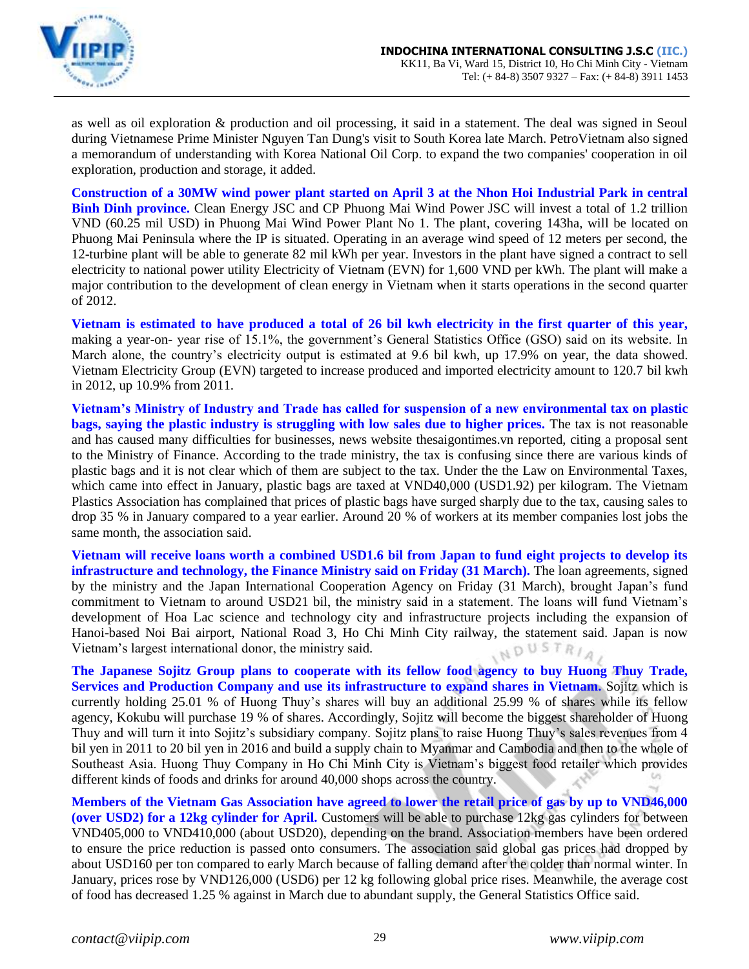

as well as oil exploration & production and oil processing, it said in a statement. The deal was signed in Seoul during Vietnamese Prime Minister Nguyen Tan Dung's visit to South Korea late March. PetroVietnam also signed a memorandum of understanding with Korea National Oil Corp. to expand the two companies' cooperation in oil exploration, production and storage, it added.

**Construction of a 30MW wind power plant started on April 3 at the Nhon Hoi Industrial Park in central Binh Dinh province.** Clean Energy JSC and CP Phuong Mai Wind Power JSC will invest a total of 1.2 trillion VND (60.25 mil USD) in Phuong Mai Wind Power Plant No 1. The plant, covering 143ha, will be located on Phuong Mai Peninsula where the IP is situated. Operating in an average wind speed of 12 meters per second, the 12-turbine plant will be able to generate 82 mil kWh per year. Investors in the plant have signed a contract to sell electricity to national power utility Electricity of Vietnam (EVN) for 1,600 VND per kWh. The plant will make a major contribution to the development of clean energy in Vietnam when it starts operations in the second quarter of 2012.

**Vietnam is estimated to have produced a total of 26 bil kwh electricity in the first quarter of this year,** making a year-on- year rise of 15.1%, the government's General Statistics Office (GSO) said on its website. In March alone, the country's electricity output is estimated at 9.6 bil kwh, up 17.9% on year, the data showed. Vietnam Electricity Group (EVN) targeted to increase produced and imported electricity amount to 120.7 bil kwh in 2012, up 10.9% from 2011.

**Vietnam's Ministry of Industry and Trade has called for suspension of a new environmental tax on plastic bags, saying the plastic industry is struggling with low sales due to higher prices.** The tax is not reasonable and has caused many difficulties for businesses, news website thesaigontimes.vn reported, citing a proposal sent to the Ministry of Finance. According to the trade ministry, the tax is confusing since there are various kinds of plastic bags and it is not clear which of them are subject to the tax. Under the the Law on Environmental Taxes, which came into effect in January, plastic bags are taxed at VND40,000 (USD1.92) per kilogram. The Vietnam Plastics Association has complained that prices of plastic bags have surged sharply due to the tax, causing sales to drop 35 % in January compared to a year earlier. Around 20 % of workers at its member companies lost jobs the same month, the association said.

**Vietnam will receive loans worth a combined USD1.6 bil from Japan to fund eight projects to develop its infrastructure and technology, the Finance Ministry said on Friday (31 March).** The loan agreements, signed by the ministry and the Japan International Cooperation Agency on Friday (31 March), brought Japan's fund commitment to Vietnam to around USD21 bil, the ministry said in a statement. The loans will fund Vietnam's development of Hoa Lac science and technology city and infrastructure projects including the expansion of Hanoi-based Noi Bai airport, National Road 3, Ho Chi Minh City railway, the statement said. Japan is now Vietnam's largest international donor, the ministry said. INDUSTRIAL

**The Japanese Sojitz Group plans to cooperate with its fellow food agency to buy Huong Thuy Trade, Services and Production Company and use its infrastructure to expand shares in Vietnam.** Sojitz which is currently holding 25.01 % of Huong Thuy's shares will buy an additional 25.99 % of shares while its fellow agency, Kokubu will purchase 19 % of shares. Accordingly, Sojitz will become the biggest shareholder of Huong Thuy and will turn it into Sojitz's subsidiary company. Sojitz plans to raise Huong Thuy's sales revenues from 4 bil yen in 2011 to 20 bil yen in 2016 and build a supply chain to Myanmar and Cambodia and then to the whole of Southeast Asia. Huong Thuy Company in Ho Chi Minh City is Vietnam's biggest food retailer which provides different kinds of foods and drinks for around 40,000 shops across the country.  $\omega$ 

**Members of the Vietnam Gas Association have agreed to lower the retail price of gas by up to VND46,000 (over USD2) for a 12kg cylinder for April.** Customers will be able to purchase 12kg gas cylinders for between VND405,000 to VND410,000 (about USD20), depending on the brand. Association members have been ordered to ensure the price reduction is passed onto consumers. The association said global gas prices had dropped by about USD160 per ton compared to early March because of falling demand after the colder than normal winter. In January, prices rose by VND126,000 (USD6) per 12 kg following global price rises. Meanwhile, the average cost of food has decreased 1.25 % against in March due to abundant supply, the General Statistics Office said.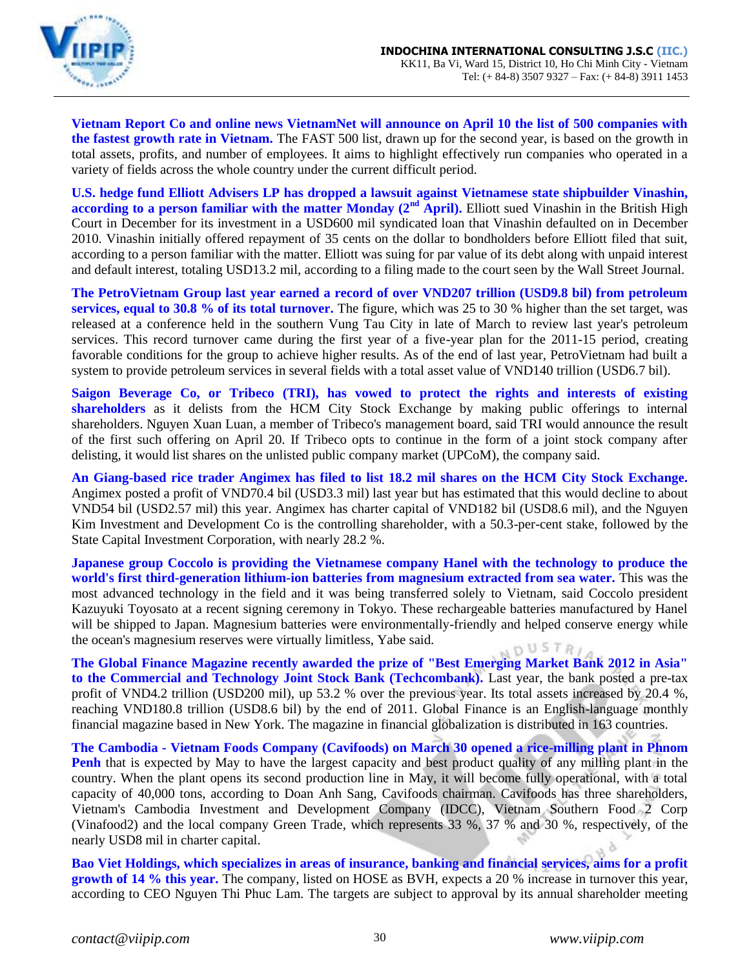

**Vietnam Report Co and online news VietnamNet will announce on April 10 the list of 500 companies with the fastest growth rate in Vietnam.** The FAST 500 list, drawn up for the second year, is based on the growth in total assets, profits, and number of employees. It aims to highlight effectively run companies who operated in a variety of fields across the whole country under the current difficult period.

**U.S. hedge fund Elliott Advisers LP has dropped a lawsuit against Vietnamese state shipbuilder Vinashin, according to a person familiar with the matter Monday (2<sup>nd</sup> April).** Elliott sued Vinashin in the British High Court in December for its investment in a USD600 mil syndicated loan that Vinashin defaulted on in December 2010. Vinashin initially offered repayment of 35 cents on the dollar to bondholders before Elliott filed that suit, according to a person familiar with the matter. Elliott was suing for par value of its debt along with unpaid interest and default interest, totaling USD13.2 mil, according to a filing made to the court seen by the Wall Street Journal.

**The PetroVietnam Group last year earned a record of over VND207 trillion (USD9.8 bil) from petroleum services, equal to 30.8 % of its total turnover.** The figure, which was 25 to 30 % higher than the set target, was released at a conference held in the southern Vung Tau City in late of March to review last year's petroleum services. This record turnover came during the first year of a five-year plan for the 2011-15 period, creating favorable conditions for the group to achieve higher results. As of the end of last year, PetroVietnam had built a system to provide petroleum services in several fields with a total asset value of VND140 trillion (USD6.7 bil).

**Saigon Beverage Co, or Tribeco (TRI), has vowed to protect the rights and interests of existing shareholders** as it delists from the HCM City Stock Exchange by making public offerings to internal shareholders. Nguyen Xuan Luan, a member of Tribeco's management board, said TRI would announce the result of the first such offering on April 20. If Tribeco opts to continue in the form of a joint stock company after delisting, it would list shares on the unlisted public company market (UPCoM), the company said.

**An Giang-based rice trader Angimex has filed to list 18.2 mil shares on the HCM City Stock Exchange.** Angimex posted a profit of VND70.4 bil (USD3.3 mil) last year but has estimated that this would decline to about VND54 bil (USD2.57 mil) this year. Angimex has charter capital of VND182 bil (USD8.6 mil), and the Nguyen Kim Investment and Development Co is the controlling shareholder, with a 50.3-per-cent stake, followed by the State Capital Investment Corporation, with nearly 28.2 %.

**Japanese group Coccolo is providing the Vietnamese company Hanel with the technology to produce the world's first third-generation lithium-ion batteries from magnesium extracted from sea water.** This was the most advanced technology in the field and it was being transferred solely to Vietnam, said Coccolo president Kazuyuki Toyosato at a recent signing ceremony in Tokyo. These rechargeable batteries manufactured by Hanel will be shipped to Japan. Magnesium batteries were environmentally-friendly and helped conserve energy while the ocean's magnesium reserves were virtually limitless, Yabe said. OUSTR

**The Global Finance Magazine recently awarded the prize of "Best Emerging Market Bank 2012 in Asia" to the Commercial and Technology Joint Stock Bank (Techcombank).** Last year, the bank posted a pre-tax profit of VND4.2 trillion (USD200 mil), up 53.2 % over the previous year. Its total assets increased by 20.4 %, reaching VND180.8 trillion (USD8.6 bil) by the end of 2011. Global Finance is an English-language monthly financial magazine based in New York. The magazine in financial globalization is distributed in 163 countries.

**The Cambodia - Vietnam Foods Company (Cavifoods) on March 30 opened a rice-milling plant in Phnom Penh** that is expected by May to have the largest capacity and best product quality of any milling plant in the country. When the plant opens its second production line in May, it will become fully operational, with a total capacity of 40,000 tons, according to Doan Anh Sang, Cavifoods chairman. Cavifoods has three shareholders, Vietnam's Cambodia Investment and Development Company (IDCC), Vietnam Southern Food 2 Corp (Vinafood2) and the local company Green Trade, which represents 33 %, 37 % and 30 %, respectively, of the nearly USD8 mil in charter capital.

**Bao Viet Holdings, which specializes in areas of insurance, banking and financial services, aims for a profit growth of 14 % this year.** The company, listed on HOSE as BVH, expects a 20 % increase in turnover this year, according to CEO Nguyen Thi Phuc Lam. The targets are subject to approval by its annual shareholder meeting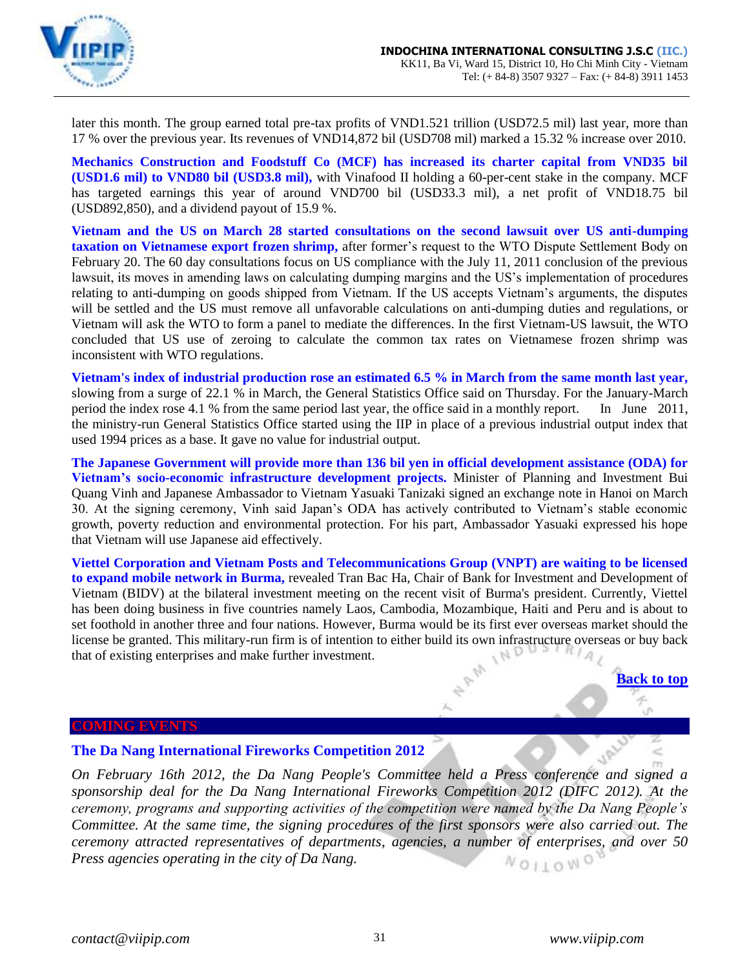

later this month. The group earned total pre-tax profits of VND1.521 trillion (USD72.5 mil) last year, more than 17 % over the previous year. Its revenues of VND14,872 bil (USD708 mil) marked a 15.32 % increase over 2010.

**Mechanics Construction and Foodstuff Co (MCF) has increased its charter capital from VND35 bil (USD1.6 mil) to VND80 bil (USD3.8 mil),** with Vinafood II holding a 60-per-cent stake in the company. MCF has targeted earnings this year of around VND700 bil (USD33.3 mil), a net profit of VND18.75 bil (USD892,850), and a dividend payout of 15.9 %.

**Vietnam and the US on March 28 started consultations on the second lawsuit over US anti-dumping taxation on Vietnamese export frozen shrimp,** after former's request to the WTO Dispute Settlement Body on February 20. The 60 day consultations focus on US compliance with the July 11, 2011 conclusion of the previous lawsuit, its moves in amending laws on calculating dumping margins and the US's implementation of procedures relating to anti-dumping on goods shipped from Vietnam. If the US accepts Vietnam's arguments, the disputes will be settled and the US must remove all unfavorable calculations on anti-dumping duties and regulations, or Vietnam will ask the WTO to form a panel to mediate the differences. In the first Vietnam-US lawsuit, the WTO concluded that US use of zeroing to calculate the common tax rates on Vietnamese frozen shrimp was inconsistent with WTO regulations.

**Vietnam's index of industrial production rose an estimated 6.5 % in March from the same month last year,** slowing from a surge of 22.1 % in March, the General Statistics Office said on Thursday. For the January-March period the index rose 4.1 % from the same period last year, the office said in a monthly report. In June 2011, the ministry-run General Statistics Office started using the IIP in place of a previous industrial output index that used 1994 prices as a base. It gave no value for industrial output.

**The Japanese Government will provide more than 136 bil yen in official development assistance (ODA) for Vietnam's socio-economic infrastructure development projects.** Minister of Planning and Investment Bui Quang Vinh and Japanese Ambassador to Vietnam Yasuaki Tanizaki signed an exchange note in Hanoi on March 30. At the signing ceremony, Vinh said Japan's ODA has actively contributed to Vietnam's stable economic growth, poverty reduction and environmental protection. For his part, Ambassador Yasuaki expressed his hope that Vietnam will use Japanese aid effectively.

**Viettel Corporation and Vietnam Posts and Telecommunications Group (VNPT) are waiting to be licensed to expand mobile network in Burma,** revealed Tran Bac Ha, Chair of Bank for Investment and Development of Vietnam (BIDV) at the bilateral investment meeting on the recent visit of Burma's president. Currently, Viettel has been doing business in five countries namely Laos, Cambodia, Mozambique, Haiti and Peru and is about to set foothold in another three and four nations. However, Burma would be its first ever overseas market should the license be granted. This military-run firm is of intention to either build its own infrastructure overseas or buy back that of existing enterprises and make further investment.

### <span id="page-30-0"></span>**COMING EVENTS**

### <span id="page-30-1"></span>**The Da Nang International Fireworks Competition 2012**

*On February 16th 2012, the Da Nang People's Committee held a Press conference and signed a sponsorship deal for the Da Nang International Fireworks Competition 2012 (DIFC 2012). At the ceremony, programs and supporting activities of the competition were named by the Da Nang People's Committee. At the same time, the signing procedures of the first sponsors were also carried out. The ceremony attracted representatives of departments, agencies, a number of enterprises, and over 50 Press agencies operating in the city of Da Nang.*NOILOWO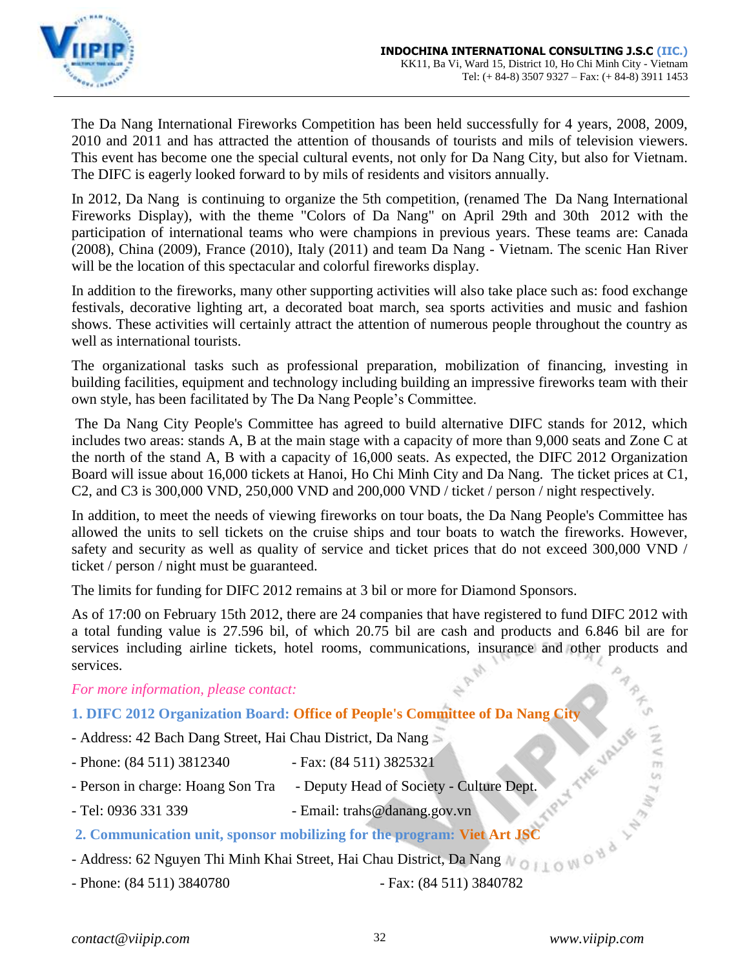

The Da Nang International Fireworks Competition has been held successfully for 4 years, 2008, 2009, 2010 and 2011 and has attracted the attention of thousands of tourists and mils of television viewers. This event has become one the special cultural events, not only for Da Nang City, but also for Vietnam. The DIFC is eagerly looked forward to by mils of residents and visitors annually.

In 2012, Da Nang is continuing to organize the 5th competition, (renamed The Da Nang International Fireworks Display), with the theme "Colors of Da Nang" on April 29th and 30th 2012 with the participation of international teams who were champions in previous years. These teams are: Canada (2008), China (2009), France (2010), Italy (2011) and team Da Nang - Vietnam. The scenic Han River will be the location of this spectacular and colorful fireworks display.

In addition to the fireworks, many other supporting activities will also take place such as: food exchange festivals, decorative lighting art, a decorated boat march, sea sports activities and music and fashion shows. These activities will certainly attract the attention of numerous people throughout the country as well as international tourists.

The organizational tasks such as professional preparation, mobilization of financing, investing in building facilities, equipment and technology including building an impressive fireworks team with their own style, has been facilitated by The Da Nang People's Committee.

The Da Nang City People's Committee has agreed to build alternative DIFC stands for 2012, which includes two areas: stands A, B at the main stage with a capacity of more than 9,000 seats and Zone C at the north of the stand A, B with a capacity of 16,000 seats. As expected, the DIFC 2012 Organization Board will issue about 16,000 tickets at Hanoi, Ho Chi Minh City and Da Nang. The ticket prices at C1, C2, and C3 is 300,000 VND, 250,000 VND and 200,000 VND / ticket / person / night respectively.

In addition, to meet the needs of viewing fireworks on tour boats, the Da Nang People's Committee has allowed the units to sell tickets on the cruise ships and tour boats to watch the fireworks. However, safety and security as well as quality of service and ticket prices that do not exceed 300,000 VND / ticket / person / night must be guaranteed.

The limits for funding for DIFC 2012 remains at 3 bil or more for Diamond Sponsors.

As of 17:00 on February 15th 2012, there are 24 companies that have registered to fund DIFC 2012 with a total funding value is 27.596 bil, of which 20.75 bil are cash and products and 6.846 bil are for services including airline tickets, hotel rooms, communications, insurance and other products and services.

*For more information, please contact:*

# **1. DIFC 2012 Organization Board: Office of People's Committee of Da Nang City**

- Address: 42 Bach Dang Street, Hai Chau District, Da Nang
- Phone: (84 511) 3812340 Fax: (84 511) 3825321
- Person in charge: Hoang Son Tra Deputy Head of Society Culture Dept.
- Tel: 0936 331 339 Email: trahs@danang.gov.vn

# **2. Communication unit, sponsor mobilizing for the program: Viet Art JSC**

- Address: 62 Nguyen Thi Minh Khai Street, Hai Chau District, Da Nang

- Phone: (84 511) 3840780 Fax: (84 511) 3840782
-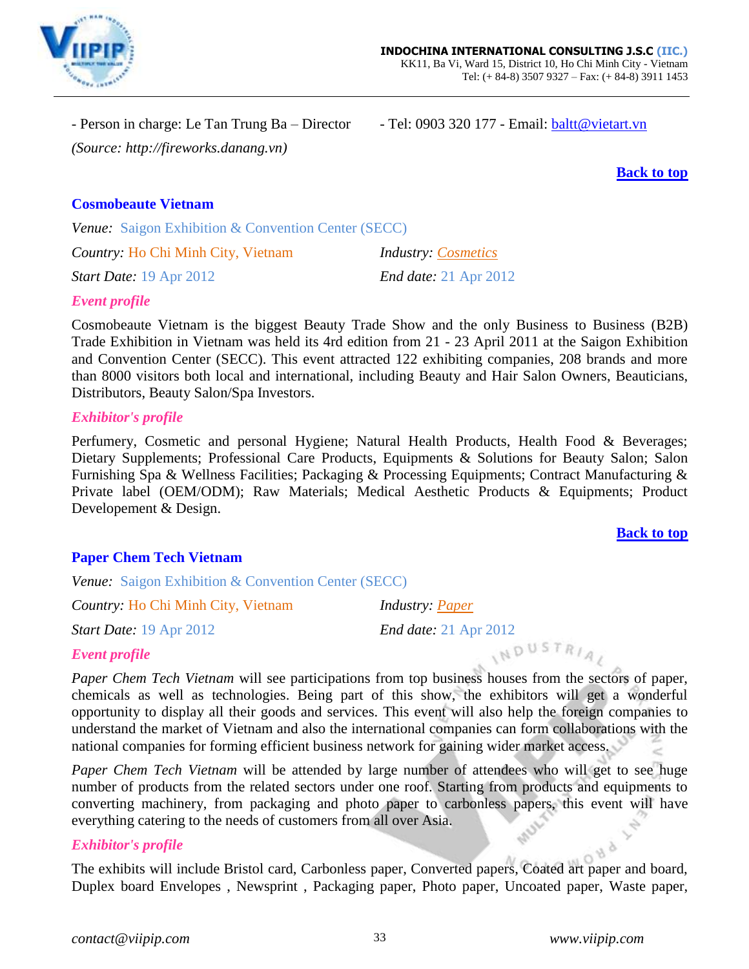

- Person in charge: Le Tan Trung Ba – Director - Tel: 0903 320 177 - Email: [baltt@vietart.vn](mailto:baltt@vietart.vn) *(Source: http://fireworks.danang.vn)*

**[Back to top](#page-0-0)**

# <span id="page-32-0"></span>**Cosmobeaute Vietnam**

*Venue:* Saigon Exhibition & Convention Center (SECC)

*Country:* Ho Chi Minh City, Vietnam *Industry: Cosmetics*

*Start Date:* 19 Apr 2012 *End date:* 21 Apr 2012

# *Event profile*

Cosmobeaute Vietnam is the biggest Beauty Trade Show and the only Business to Business (B2B) Trade Exhibition in Vietnam was held its 4rd edition from 21 - 23 April 2011 at the Saigon Exhibition and Convention Center (SECC). This event attracted 122 exhibiting companies, 208 brands and more than 8000 visitors both local and international, including Beauty and Hair Salon Owners, Beauticians, Distributors, Beauty Salon/Spa Investors.

### *Exhibitor's profile*

Perfumery, Cosmetic and personal Hygiene; Natural Health Products, Health Food & Beverages; Dietary Supplements; Professional Care Products, Equipments & Solutions for Beauty Salon; Salon Furnishing Spa & Wellness Facilities; Packaging & Processing Equipments; Contract Manufacturing & Private label (OEM/ODM); Raw Materials; Medical Aesthetic Products & Equipments; Product Developement & Design.

### **[Back to top](#page-0-0)**

# <span id="page-32-1"></span>**Paper Chem Tech Vietnam**

*Venue:* Saigon Exhibition & Convention Center (SECC)

*Country:* Ho Chi Minh City, Vietnam *Industry: Paper*

*Start Date:* 19 Apr 2012 *End date:* 21 Apr 2012

INDUSTRIA

# *Event profile*

*Paper Chem Tech Vietnam* will see participations from top business houses from the sectors of paper, chemicals as well as technologies. Being part of this show, the exhibitors will get a wonderful opportunity to display all their goods and services. This event will also help the foreign companies to understand the market of Vietnam and also the international companies can form collaborations with the national companies for forming efficient business network for gaining wider market access.

*Paper Chem Tech Vietnam* will be attended by large number of attendees who will get to see huge number of products from the related sectors under one roof. Starting from products and equipments to converting machinery, from packaging and photo paper to carbonless papers, this event will have everything catering to the needs of customers from all over Asia.

### *Exhibitor's profile*

The exhibits will include Bristol card, Carbonless paper, Converted papers, Coated art paper and board, Duplex board Envelopes , Newsprint , Packaging paper, Photo paper, Uncoated paper, Waste paper,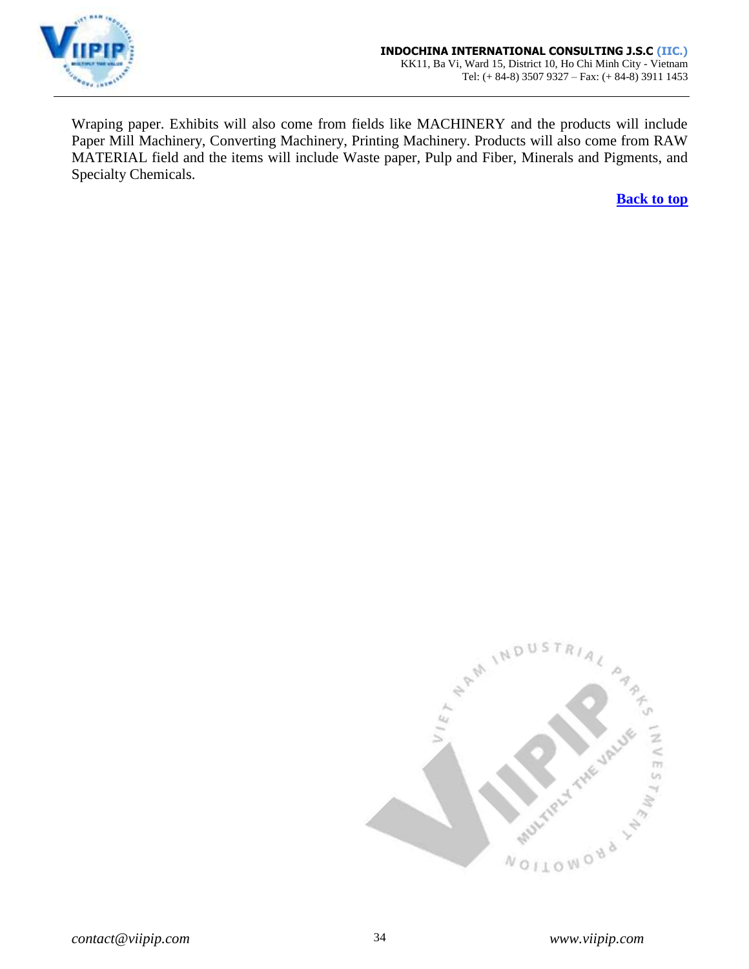

Wraping paper. Exhibits will also come from fields like MACHINERY and the products will include Paper Mill Machinery, Converting Machinery, Printing Machinery. Products will also come from RAW MATERIAL field and the items will include Waste paper, Pulp and Fiber, Minerals and Pigments, and Specialty Chemicals.